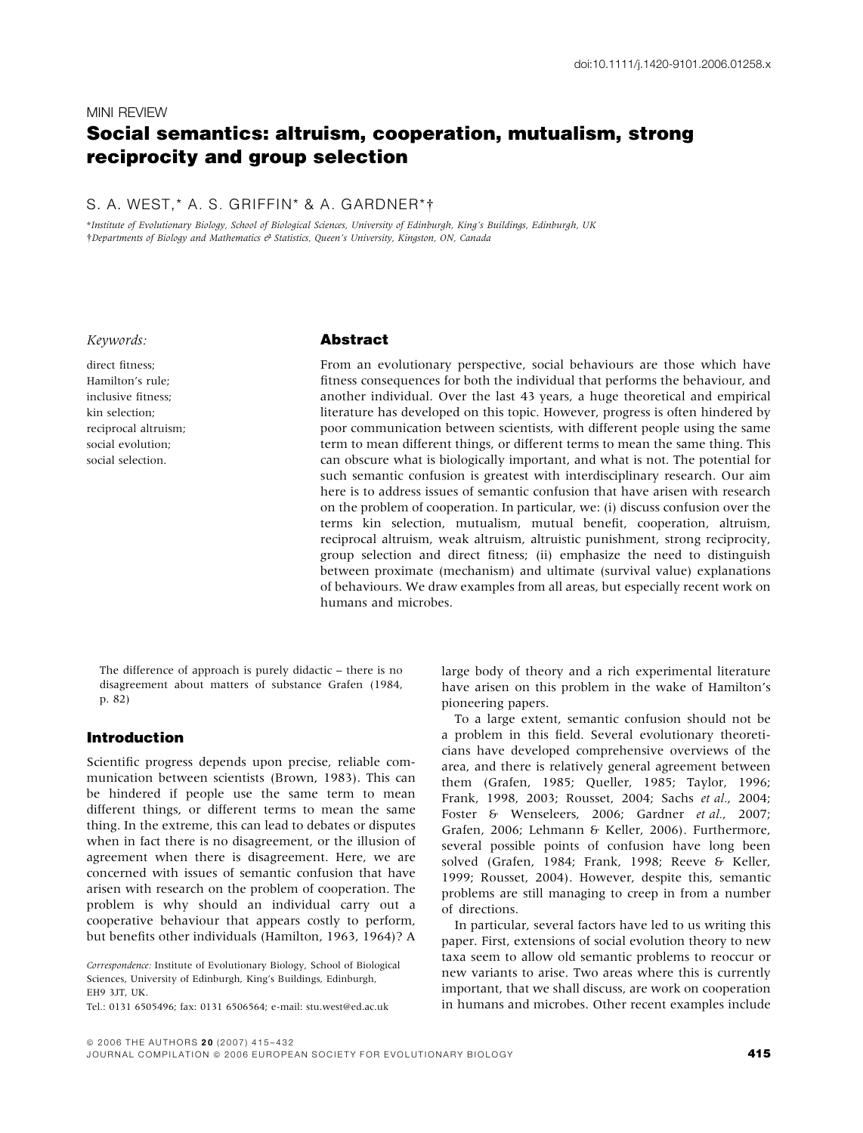# MINI REVIEW Social semantics: altruism, cooperation, mutualism, strong reciprocity and group selection

# S. A. WEST,\* A. S. GRIFFIN\* & A. GARDNER\*†

\*Institute of Evolutionary Biology, School of Biological Sciences, University of Edinburgh, King's Buildings, Edinburgh, UK -Departments of Biology and Mathematics & Statistics, Queen's University, Kingston, ON, Canada

### Keywords:

direct fitness; Hamilton's rule; inclusive fitness; kin selection; reciprocal altruism; social evolution; social selection.

# Abstract

From an evolutionary perspective, social behaviours are those which have fitness consequences for both the individual that performs the behaviour, and another individual. Over the last 43 years, a huge theoretical and empirical literature has developed on this topic. However, progress is often hindered by poor communication between scientists, with different people using the same term to mean different things, or different terms to mean the same thing. This can obscure what is biologically important, and what is not. The potential for such semantic confusion is greatest with interdisciplinary research. Our aim here is to address issues of semantic confusion that have arisen with research on the problem of cooperation. In particular, we: (i) discuss confusion over the terms kin selection, mutualism, mutual benefit, cooperation, altruism, reciprocal altruism, weak altruism, altruistic punishment, strong reciprocity, group selection and direct fitness; (ii) emphasize the need to distinguish between proximate (mechanism) and ultimate (survival value) explanations of behaviours. We draw examples from all areas, but especially recent work on humans and microbes.

The difference of approach is purely didactic – there is no disagreement about matters of substance Grafen (1984, p. 82)

# Introduction

Scientific progress depends upon precise, reliable communication between scientists (Brown, 1983). This can be hindered if people use the same term to mean different things, or different terms to mean the same thing. In the extreme, this can lead to debates or disputes when in fact there is no disagreement, or the illusion of agreement when there is disagreement. Here, we are concerned with issues of semantic confusion that have arisen with research on the problem of cooperation. The problem is why should an individual carry out a cooperative behaviour that appears costly to perform, but benefits other individuals (Hamilton, 1963, 1964)? A

Correspondence: Institute of Evolutionary Biology, School of Biological Sciences, University of Edinburgh, King's Buildings, Edinburgh, EH9 3JT, UK.

Tel.: 0131 6505496; fax: 0131 6506564; e-mail: stu.west@ed.ac.uk

large body of theory and a rich experimental literature have arisen on this problem in the wake of Hamilton's pioneering papers.

To a large extent, semantic confusion should not be a problem in this field. Several evolutionary theoreticians have developed comprehensive overviews of the area, and there is relatively general agreement between them (Grafen, 1985; Queller, 1985; Taylor, 1996; Frank, 1998, 2003; Rousset, 2004; Sachs et al., 2004; Foster & Wenseleers, 2006; Gardner et al., 2007; Grafen, 2006; Lehmann & Keller, 2006). Furthermore, several possible points of confusion have long been solved (Grafen, 1984; Frank, 1998; Reeve & Keller, 1999; Rousset, 2004). However, despite this, semantic problems are still managing to creep in from a number of directions.

In particular, several factors have led to us writing this paper. First, extensions of social evolution theory to new taxa seem to allow old semantic problems to reoccur or new variants to arise. Two areas where this is currently important, that we shall discuss, are work on cooperation in humans and microbes. Other recent examples include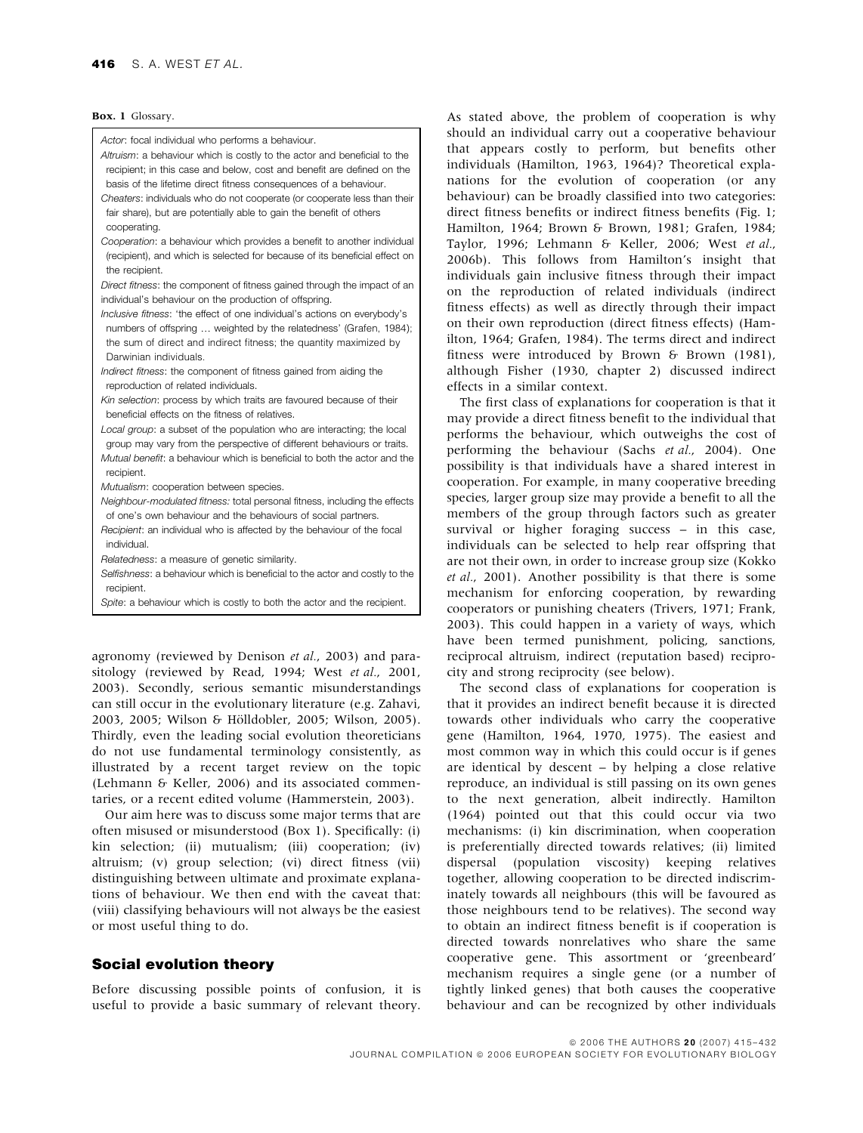#### Box. 1 Glossary.

Actor: focal individual who performs a behaviour.

Altruism: a behaviour which is costly to the actor and beneficial to the recipient; in this case and below, cost and benefit are defined on the basis of the lifetime direct fitness consequences of a behaviour. Cheaters: individuals who do not cooperate (or cooperate less than their fair share), but are potentially able to gain the benefit of others

cooperating.

Cooperation: a behaviour which provides a benefit to another individual (recipient), and which is selected for because of its beneficial effect on the recipient.

Direct fitness: the component of fitness gained through the impact of an individual's behaviour on the production of offspring.

Inclusive fitness: 'the effect of one individual's actions on everybody's numbers of offspring … weighted by the relatedness' (Grafen, 1984); the sum of direct and indirect fitness; the quantity maximized by Darwinian individuals.

Indirect fitness: the component of fitness gained from aiding the reproduction of related individuals.

Kin selection: process by which traits are favoured because of their beneficial effects on the fitness of relatives.

Local group: a subset of the population who are interacting; the local group may vary from the perspective of different behaviours or traits. Mutual benefit: a behaviour which is beneficial to both the actor and the recipient

Mutualism: cooperation between species.

Neighbour-modulated fitness: total personal fitness, including the effects of one's own behaviour and the behaviours of social partners.

Recipient: an individual who is affected by the behaviour of the focal individual.

Relatedness: a measure of genetic similarity.

Selfishness: a behaviour which is beneficial to the actor and costly to the recipient.

Spite: a behaviour which is costly to both the actor and the recipient.

agronomy (reviewed by Denison et al., 2003) and parasitology (reviewed by Read, 1994; West et al., 2001, 2003). Secondly, serious semantic misunderstandings can still occur in the evolutionary literature (e.g. Zahavi, 2003, 2005; Wilson & Hölldobler, 2005; Wilson, 2005). Thirdly, even the leading social evolution theoreticians do not use fundamental terminology consistently, as illustrated by a recent target review on the topic (Lehmann & Keller, 2006) and its associated commentaries, or a recent edited volume (Hammerstein, 2003).

Our aim here was to discuss some major terms that are often misused or misunderstood (Box 1). Specifically: (i) kin selection; (ii) mutualism; (iii) cooperation; (iv) altruism; (v) group selection; (vi) direct fitness (vii) distinguishing between ultimate and proximate explanations of behaviour. We then end with the caveat that: (viii) classifying behaviours will not always be the easiest or most useful thing to do.

### Social evolution theory

Before discussing possible points of confusion, it is useful to provide a basic summary of relevant theory. As stated above, the problem of cooperation is why should an individual carry out a cooperative behaviour that appears costly to perform, but benefits other individuals (Hamilton, 1963, 1964)? Theoretical explanations for the evolution of cooperation (or any behaviour) can be broadly classified into two categories: direct fitness benefits or indirect fitness benefits (Fig. 1; Hamilton, 1964; Brown & Brown, 1981; Grafen, 1984; Taylor, 1996; Lehmann & Keller, 2006; West et al., 2006b). This follows from Hamilton's insight that individuals gain inclusive fitness through their impact on the reproduction of related individuals (indirect fitness effects) as well as directly through their impact on their own reproduction (direct fitness effects) (Hamilton, 1964; Grafen, 1984). The terms direct and indirect fitness were introduced by Brown & Brown (1981), although Fisher (1930, chapter 2) discussed indirect effects in a similar context.

The first class of explanations for cooperation is that it may provide a direct fitness benefit to the individual that performs the behaviour, which outweighs the cost of performing the behaviour (Sachs et al., 2004). One possibility is that individuals have a shared interest in cooperation. For example, in many cooperative breeding species, larger group size may provide a benefit to all the members of the group through factors such as greater survival or higher foraging success – in this case, individuals can be selected to help rear offspring that are not their own, in order to increase group size (Kokko et al., 2001). Another possibility is that there is some mechanism for enforcing cooperation, by rewarding cooperators or punishing cheaters (Trivers, 1971; Frank, 2003). This could happen in a variety of ways, which have been termed punishment, policing, sanctions, reciprocal altruism, indirect (reputation based) reciprocity and strong reciprocity (see below).

The second class of explanations for cooperation is that it provides an indirect benefit because it is directed towards other individuals who carry the cooperative gene (Hamilton, 1964, 1970, 1975). The easiest and most common way in which this could occur is if genes are identical by descent – by helping a close relative reproduce, an individual is still passing on its own genes to the next generation, albeit indirectly. Hamilton (1964) pointed out that this could occur via two mechanisms: (i) kin discrimination, when cooperation is preferentially directed towards relatives; (ii) limited dispersal (population viscosity) keeping relatives together, allowing cooperation to be directed indiscriminately towards all neighbours (this will be favoured as those neighbours tend to be relatives). The second way to obtain an indirect fitness benefit is if cooperation is directed towards nonrelatives who share the same cooperative gene. This assortment or 'greenbeard' mechanism requires a single gene (or a number of tightly linked genes) that both causes the cooperative behaviour and can be recognized by other individuals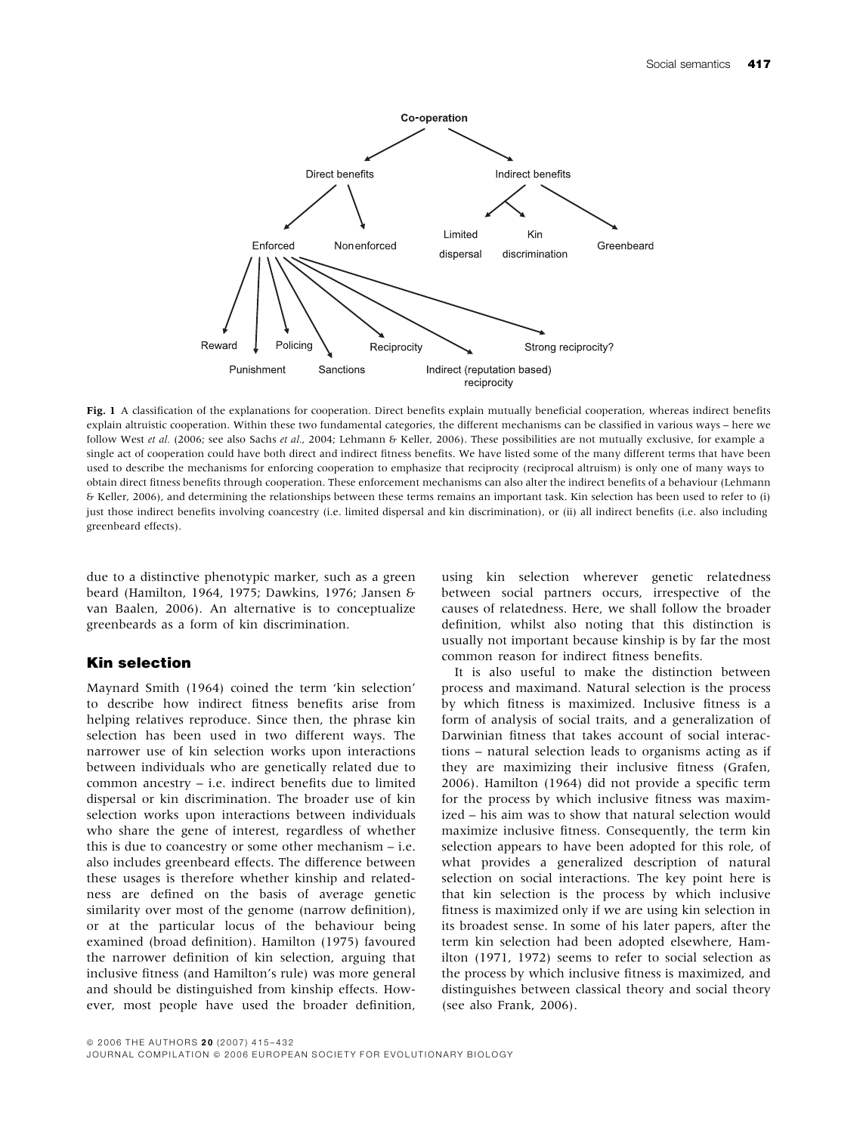

Fig. 1 A classification of the explanations for cooperation. Direct benefits explain mutually beneficial cooperation, whereas indirect benefits explain altruistic cooperation. Within these two fundamental categories, the different mechanisms can be classified in various ways – here we follow West et al. (2006; see also Sachs et al., 2004; Lehmann & Keller, 2006). These possibilities are not mutually exclusive, for example a single act of cooperation could have both direct and indirect fitness benefits. We have listed some of the many different terms that have been used to describe the mechanisms for enforcing cooperation to emphasize that reciprocity (reciprocal altruism) is only one of many ways to obtain direct fitness benefits through cooperation. These enforcement mechanisms can also alter the indirect benefits of a behaviour (Lehmann & Keller, 2006), and determining the relationships between these terms remains an important task. Kin selection has been used to refer to (i) just those indirect benefits involving coancestry (i.e. limited dispersal and kin discrimination), or (ii) all indirect benefits (i.e. also including greenbeard effects).

due to a distinctive phenotypic marker, such as a green beard (Hamilton, 1964, 1975; Dawkins, 1976; Jansen & van Baalen, 2006). An alternative is to conceptualize greenbeards as a form of kin discrimination.

### Kin selection

Maynard Smith (1964) coined the term 'kin selection' to describe how indirect fitness benefits arise from helping relatives reproduce. Since then, the phrase kin selection has been used in two different ways. The narrower use of kin selection works upon interactions between individuals who are genetically related due to common ancestry – i.e. indirect benefits due to limited dispersal or kin discrimination. The broader use of kin selection works upon interactions between individuals who share the gene of interest, regardless of whether this is due to coancestry or some other mechanism – i.e. also includes greenbeard effects. The difference between these usages is therefore whether kinship and relatedness are defined on the basis of average genetic similarity over most of the genome (narrow definition), or at the particular locus of the behaviour being examined (broad definition). Hamilton (1975) favoured the narrower definition of kin selection, arguing that inclusive fitness (and Hamilton's rule) was more general and should be distinguished from kinship effects. However, most people have used the broader definition,

using kin selection wherever genetic relatedness between social partners occurs, irrespective of the causes of relatedness. Here, we shall follow the broader definition, whilst also noting that this distinction is usually not important because kinship is by far the most common reason for indirect fitness benefits.

It is also useful to make the distinction between process and maximand. Natural selection is the process by which fitness is maximized. Inclusive fitness is a form of analysis of social traits, and a generalization of Darwinian fitness that takes account of social interactions – natural selection leads to organisms acting as if they are maximizing their inclusive fitness (Grafen, 2006). Hamilton (1964) did not provide a specific term for the process by which inclusive fitness was maximized – his aim was to show that natural selection would maximize inclusive fitness. Consequently, the term kin selection appears to have been adopted for this role, of what provides a generalized description of natural selection on social interactions. The key point here is that kin selection is the process by which inclusive fitness is maximized only if we are using kin selection in its broadest sense. In some of his later papers, after the term kin selection had been adopted elsewhere, Hamilton (1971, 1972) seems to refer to social selection as the process by which inclusive fitness is maximized, and distinguishes between classical theory and social theory (see also Frank, 2006).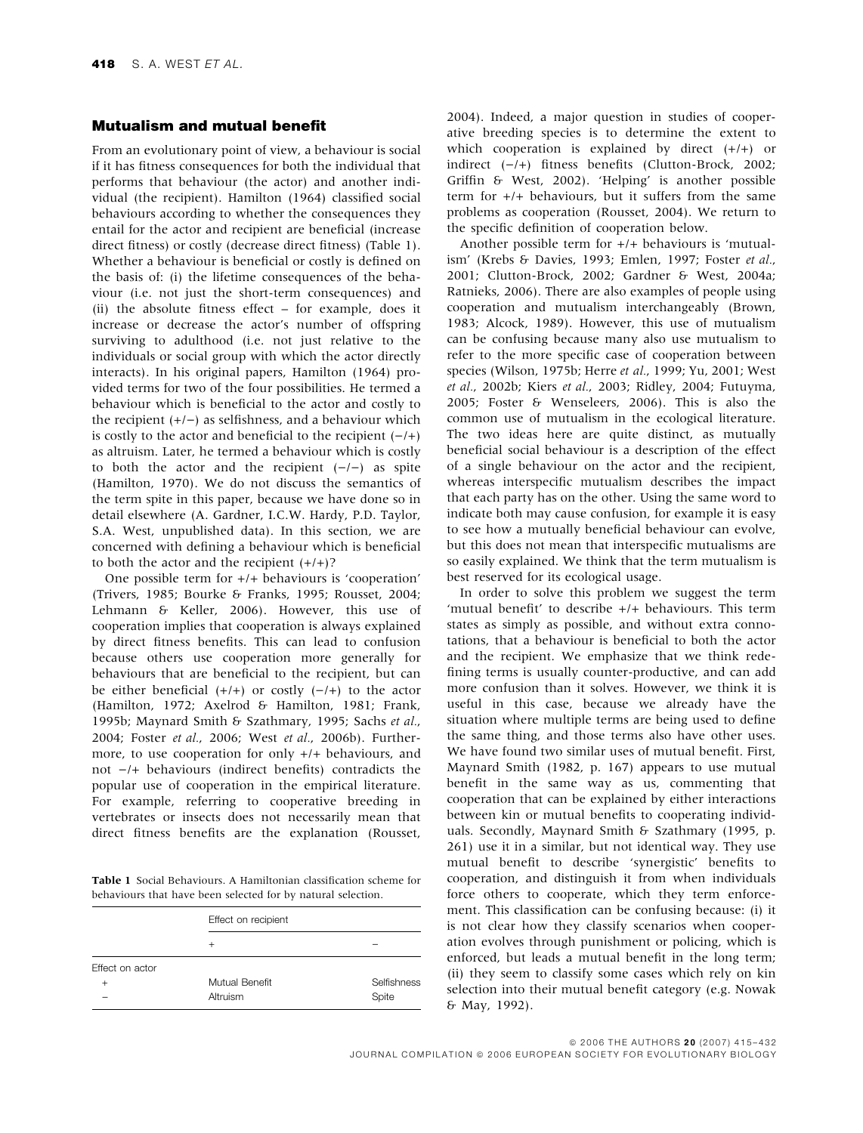# Mutualism and mutual benefit

From an evolutionary point of view, a behaviour is social if it has fitness consequences for both the individual that performs that behaviour (the actor) and another individual (the recipient). Hamilton (1964) classified social behaviours according to whether the consequences they entail for the actor and recipient are beneficial (increase direct fitness) or costly (decrease direct fitness) (Table 1). Whether a behaviour is beneficial or costly is defined on the basis of: (i) the lifetime consequences of the behaviour (i.e. not just the short-term consequences) and (ii) the absolute fitness effect – for example, does it increase or decrease the actor's number of offspring surviving to adulthood (i.e. not just relative to the individuals or social group with which the actor directly interacts). In his original papers, Hamilton (1964) provided terms for two of the four possibilities. He termed a behaviour which is beneficial to the actor and costly to the recipient  $(+/-)$  as selfishness, and a behaviour which is costly to the actor and beneficial to the recipient  $(-/+)$ as altruism. Later, he termed a behaviour which is costly to both the actor and the recipient  $(-/-)$  as spite (Hamilton, 1970). We do not discuss the semantics of the term spite in this paper, because we have done so in detail elsewhere (A. Gardner, I.C.W. Hardy, P.D. Taylor, S.A. West, unpublished data). In this section, we are concerned with defining a behaviour which is beneficial to both the actor and the recipient  $(+/+)$ ?

One possible term for +/+ behaviours is 'cooperation' (Trivers, 1985; Bourke & Franks, 1995; Rousset, 2004; Lehmann & Keller, 2006). However, this use of cooperation implies that cooperation is always explained by direct fitness benefits. This can lead to confusion because others use cooperation more generally for behaviours that are beneficial to the recipient, but can be either beneficial  $(+/+)$  or costly  $(-/+)$  to the actor (Hamilton, 1972; Axelrod & Hamilton, 1981; Frank, 1995b; Maynard Smith & Szathmary, 1995; Sachs et al., 2004; Foster et al., 2006; West et al., 2006b). Furthermore, to use cooperation for only +/+ behaviours, and not  $-/-$  behaviours (indirect benefits) contradicts the popular use of cooperation in the empirical literature. For example, referring to cooperative breeding in vertebrates or insects does not necessarily mean that direct fitness benefits are the explanation (Rousset,

Table 1 Social Behaviours. A Hamiltonian classification scheme for behaviours that have been selected for by natural selection.

|                 | Effect on recipient |             |  |  |
|-----------------|---------------------|-------------|--|--|
|                 | $^+$                |             |  |  |
| Effect on actor |                     |             |  |  |
|                 | Mutual Benefit      | Selfishness |  |  |
|                 | Altruism            | Spite       |  |  |

2004). Indeed, a major question in studies of cooperative breeding species is to determine the extent to which cooperation is explained by direct (+/+) or indirect  $(-/+)$  fitness benefits (Clutton-Brock, 2002; Griffin & West, 2002). 'Helping' is another possible term for +/+ behaviours, but it suffers from the same problems as cooperation (Rousset, 2004). We return to the specific definition of cooperation below.

Another possible term for +/+ behaviours is 'mutualism' (Krebs & Davies, 1993; Emlen, 1997; Foster et al., 2001; Clutton-Brock, 2002; Gardner & West, 2004a; Ratnieks, 2006). There are also examples of people using cooperation and mutualism interchangeably (Brown, 1983; Alcock, 1989). However, this use of mutualism can be confusing because many also use mutualism to refer to the more specific case of cooperation between species (Wilson, 1975b; Herre et al., 1999; Yu, 2001; West et al., 2002b; Kiers et al., 2003; Ridley, 2004; Futuyma, 2005; Foster & Wenseleers, 2006). This is also the common use of mutualism in the ecological literature. The two ideas here are quite distinct, as mutually beneficial social behaviour is a description of the effect of a single behaviour on the actor and the recipient, whereas interspecific mutualism describes the impact that each party has on the other. Using the same word to indicate both may cause confusion, for example it is easy to see how a mutually beneficial behaviour can evolve, but this does not mean that interspecific mutualisms are so easily explained. We think that the term mutualism is best reserved for its ecological usage.

In order to solve this problem we suggest the term 'mutual benefit' to describe +/+ behaviours. This term states as simply as possible, and without extra connotations, that a behaviour is beneficial to both the actor and the recipient. We emphasize that we think redefining terms is usually counter-productive, and can add more confusion than it solves. However, we think it is useful in this case, because we already have the situation where multiple terms are being used to define the same thing, and those terms also have other uses. We have found two similar uses of mutual benefit. First, Maynard Smith (1982, p. 167) appears to use mutual benefit in the same way as us, commenting that cooperation that can be explained by either interactions between kin or mutual benefits to cooperating individuals. Secondly, Maynard Smith & Szathmary (1995, p. 261) use it in a similar, but not identical way. They use mutual benefit to describe 'synergistic' benefits to cooperation, and distinguish it from when individuals force others to cooperate, which they term enforcement. This classification can be confusing because: (i) it is not clear how they classify scenarios when cooperation evolves through punishment or policing, which is enforced, but leads a mutual benefit in the long term; (ii) they seem to classify some cases which rely on kin selection into their mutual benefit category (e.g. Nowak & May, 1992).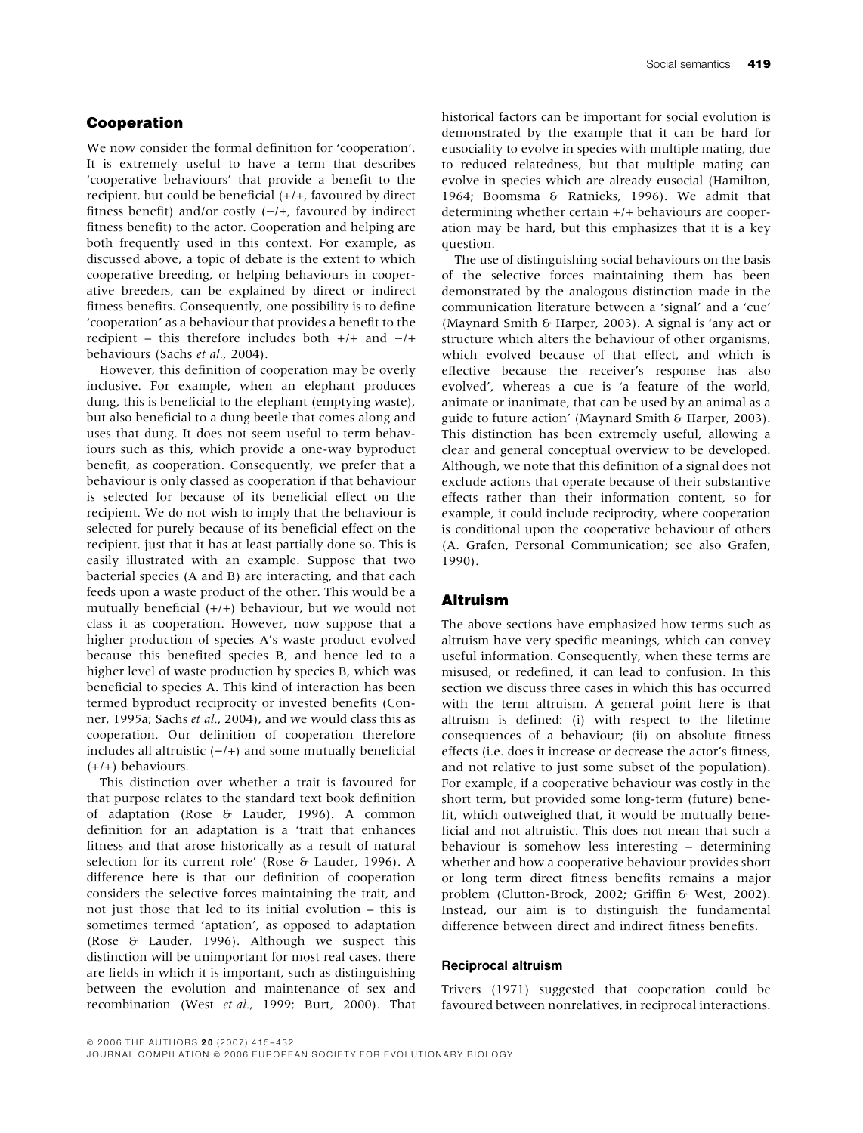# Cooperation

We now consider the formal definition for 'cooperation'. It is extremely useful to have a term that describes 'cooperative behaviours' that provide a benefit to the recipient, but could be beneficial (+/+, favoured by direct fitness benefit) and/or costly  $(-/+)$ , favoured by indirect fitness benefit) to the actor. Cooperation and helping are both frequently used in this context. For example, as discussed above, a topic of debate is the extent to which cooperative breeding, or helping behaviours in cooperative breeders, can be explained by direct or indirect fitness benefits. Consequently, one possibility is to define 'cooperation' as a behaviour that provides a benefit to the recipient – this therefore includes both  $+/+$  and  $-/+$ behaviours (Sachs et al., 2004).

However, this definition of cooperation may be overly inclusive. For example, when an elephant produces dung, this is beneficial to the elephant (emptying waste), but also beneficial to a dung beetle that comes along and uses that dung. It does not seem useful to term behaviours such as this, which provide a one-way byproduct benefit, as cooperation. Consequently, we prefer that a behaviour is only classed as cooperation if that behaviour is selected for because of its beneficial effect on the recipient. We do not wish to imply that the behaviour is selected for purely because of its beneficial effect on the recipient, just that it has at least partially done so. This is easily illustrated with an example. Suppose that two bacterial species (A and B) are interacting, and that each feeds upon a waste product of the other. This would be a mutually beneficial (+/+) behaviour, but we would not class it as cooperation. However, now suppose that a higher production of species A's waste product evolved because this benefited species B, and hence led to a higher level of waste production by species B, which was beneficial to species A. This kind of interaction has been termed byproduct reciprocity or invested benefits (Conner, 1995a; Sachs et al., 2004), and we would class this as cooperation. Our definition of cooperation therefore includes all altruistic  $(-/+)$  and some mutually beneficial (+/+) behaviours.

This distinction over whether a trait is favoured for that purpose relates to the standard text book definition of adaptation (Rose & Lauder, 1996). A common definition for an adaptation is a 'trait that enhances fitness and that arose historically as a result of natural selection for its current role' (Rose & Lauder, 1996). A difference here is that our definition of cooperation considers the selective forces maintaining the trait, and not just those that led to its initial evolution – this is sometimes termed 'aptation', as opposed to adaptation (Rose & Lauder, 1996). Although we suspect this distinction will be unimportant for most real cases, there are fields in which it is important, such as distinguishing between the evolution and maintenance of sex and recombination (West et al., 1999; Burt, 2000). That historical factors can be important for social evolution is demonstrated by the example that it can be hard for eusociality to evolve in species with multiple mating, due to reduced relatedness, but that multiple mating can evolve in species which are already eusocial (Hamilton, 1964; Boomsma & Ratnieks, 1996). We admit that determining whether certain +/+ behaviours are cooperation may be hard, but this emphasizes that it is a key question.

The use of distinguishing social behaviours on the basis of the selective forces maintaining them has been demonstrated by the analogous distinction made in the communication literature between a 'signal' and a 'cue' (Maynard Smith & Harper, 2003). A signal is 'any act or structure which alters the behaviour of other organisms, which evolved because of that effect, and which is effective because the receiver's response has also evolved', whereas a cue is 'a feature of the world, animate or inanimate, that can be used by an animal as a guide to future action' (Maynard Smith & Harper, 2003). This distinction has been extremely useful, allowing a clear and general conceptual overview to be developed. Although, we note that this definition of a signal does not exclude actions that operate because of their substantive effects rather than their information content, so for example, it could include reciprocity, where cooperation is conditional upon the cooperative behaviour of others (A. Grafen, Personal Communication; see also Grafen, 1990).

## Altruism

The above sections have emphasized how terms such as altruism have very specific meanings, which can convey useful information. Consequently, when these terms are misused, or redefined, it can lead to confusion. In this section we discuss three cases in which this has occurred with the term altruism. A general point here is that altruism is defined: (i) with respect to the lifetime consequences of a behaviour; (ii) on absolute fitness effects (i.e. does it increase or decrease the actor's fitness, and not relative to just some subset of the population). For example, if a cooperative behaviour was costly in the short term, but provided some long-term (future) benefit, which outweighed that, it would be mutually beneficial and not altruistic. This does not mean that such a behaviour is somehow less interesting – determining whether and how a cooperative behaviour provides short or long term direct fitness benefits remains a major problem (Clutton-Brock, 2002; Griffin & West, 2002). Instead, our aim is to distinguish the fundamental difference between direct and indirect fitness benefits.

#### Reciprocal altruism

Trivers (1971) suggested that cooperation could be favoured between nonrelatives, in reciprocal interactions.

<sup>© 2006</sup> THE AUTHORS 20 (2007) 415-432

JOURNAL COMPILATION @ 2006 EUROPEAN SOCIETY FOR EVOLUTIONARY BIOLOGY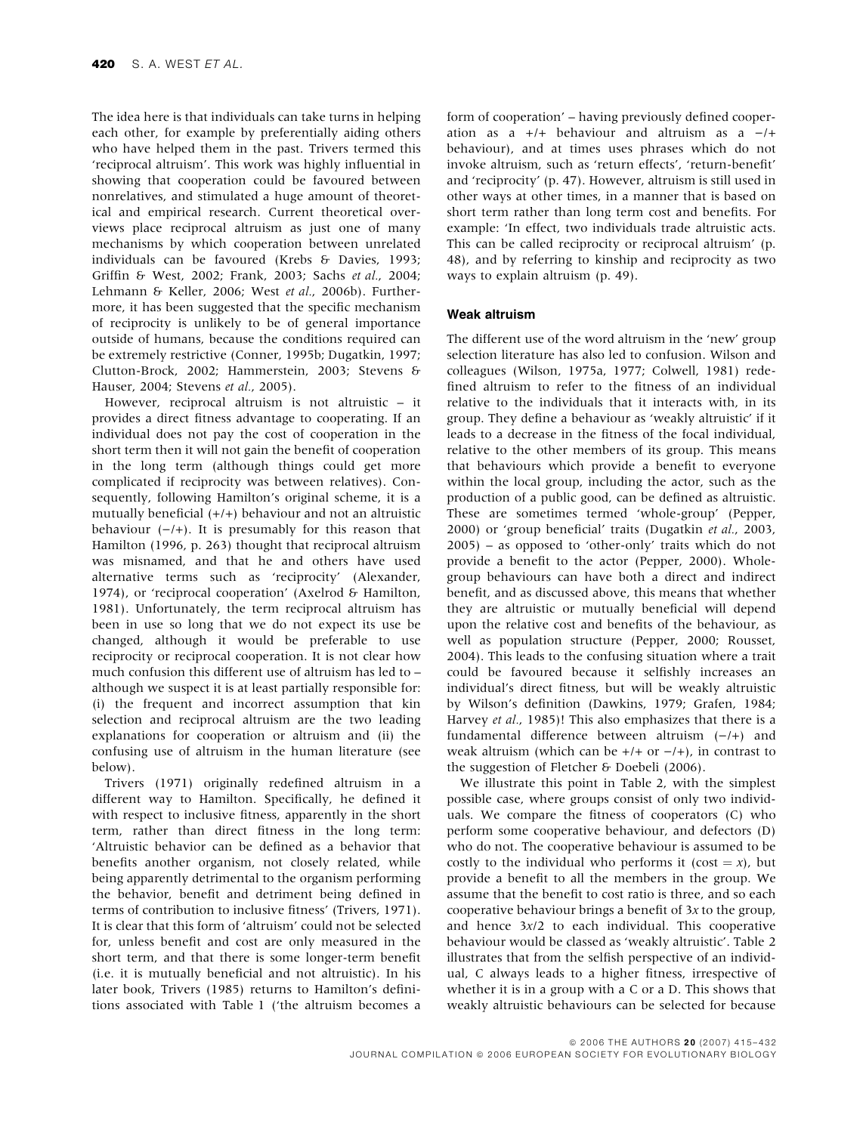The idea here is that individuals can take turns in helping each other, for example by preferentially aiding others who have helped them in the past. Trivers termed this 'reciprocal altruism'. This work was highly influential in showing that cooperation could be favoured between nonrelatives, and stimulated a huge amount of theoretical and empirical research. Current theoretical overviews place reciprocal altruism as just one of many mechanisms by which cooperation between unrelated individuals can be favoured (Krebs & Davies, 1993; Griffin & West, 2002; Frank, 2003; Sachs et al., 2004; Lehmann & Keller, 2006: West et al., 2006b). Furthermore, it has been suggested that the specific mechanism of reciprocity is unlikely to be of general importance outside of humans, because the conditions required can be extremely restrictive (Conner, 1995b; Dugatkin, 1997; Clutton-Brock, 2002; Hammerstein, 2003; Stevens & Hauser, 2004; Stevens et al., 2005).

However, reciprocal altruism is not altruistic – it provides a direct fitness advantage to cooperating. If an individual does not pay the cost of cooperation in the short term then it will not gain the benefit of cooperation in the long term (although things could get more complicated if reciprocity was between relatives). Consequently, following Hamilton's original scheme, it is a mutually beneficial (+/+) behaviour and not an altruistic behaviour  $(-/+)$ . It is presumably for this reason that Hamilton (1996, p. 263) thought that reciprocal altruism was misnamed, and that he and others have used alternative terms such as 'reciprocity' (Alexander, 1974), or 'reciprocal cooperation' (Axelrod & Hamilton, 1981). Unfortunately, the term reciprocal altruism has been in use so long that we do not expect its use be changed, although it would be preferable to use reciprocity or reciprocal cooperation. It is not clear how much confusion this different use of altruism has led to – although we suspect it is at least partially responsible for: (i) the frequent and incorrect assumption that kin selection and reciprocal altruism are the two leading explanations for cooperation or altruism and (ii) the confusing use of altruism in the human literature (see below).

Trivers (1971) originally redefined altruism in a different way to Hamilton. Specifically, he defined it with respect to inclusive fitness, apparently in the short term, rather than direct fitness in the long term: 'Altruistic behavior can be defined as a behavior that benefits another organism, not closely related, while being apparently detrimental to the organism performing the behavior, benefit and detriment being defined in terms of contribution to inclusive fitness' (Trivers, 1971). It is clear that this form of 'altruism' could not be selected for, unless benefit and cost are only measured in the short term, and that there is some longer-term benefit (i.e. it is mutually beneficial and not altruistic). In his later book, Trivers (1985) returns to Hamilton's definitions associated with Table 1 ('the altruism becomes a form of cooperation' – having previously defined cooperation as a  $+/+$  behaviour and altruism as a  $-/+$ behaviour), and at times uses phrases which do not invoke altruism, such as 'return effects', 'return-benefit' and 'reciprocity' (p. 47). However, altruism is still used in other ways at other times, in a manner that is based on short term rather than long term cost and benefits. For example: 'In effect, two individuals trade altruistic acts. This can be called reciprocity or reciprocal altruism' (p. 48), and by referring to kinship and reciprocity as two ways to explain altruism (p. 49).

### Weak altruism

The different use of the word altruism in the 'new' group selection literature has also led to confusion. Wilson and colleagues (Wilson, 1975a, 1977; Colwell, 1981) redefined altruism to refer to the fitness of an individual relative to the individuals that it interacts with, in its group. They define a behaviour as 'weakly altruistic' if it leads to a decrease in the fitness of the focal individual, relative to the other members of its group. This means that behaviours which provide a benefit to everyone within the local group, including the actor, such as the production of a public good, can be defined as altruistic. These are sometimes termed 'whole-group' (Pepper, 2000) or 'group beneficial' traits (Dugatkin et al., 2003, 2005) – as opposed to 'other-only' traits which do not provide a benefit to the actor (Pepper, 2000). Wholegroup behaviours can have both a direct and indirect benefit, and as discussed above, this means that whether they are altruistic or mutually beneficial will depend upon the relative cost and benefits of the behaviour, as well as population structure (Pepper, 2000; Rousset, 2004). This leads to the confusing situation where a trait could be favoured because it selfishly increases an individual's direct fitness, but will be weakly altruistic by Wilson's definition (Dawkins, 1979; Grafen, 1984; Harvey et al., 1985)! This also emphasizes that there is a fundamental difference between altruism  $(-/+)$  and weak altruism (which can be  $+$ /+ or  $-$ /+), in contrast to the suggestion of Fletcher & Doebeli (2006).

We illustrate this point in Table 2, with the simplest possible case, where groups consist of only two individuals. We compare the fitness of cooperators (C) who perform some cooperative behaviour, and defectors (D) who do not. The cooperative behaviour is assumed to be costly to the individual who performs it (cost  $= x$ ), but provide a benefit to all the members in the group. We assume that the benefit to cost ratio is three, and so each cooperative behaviour brings a benefit of 3x to the group, and hence  $3x/2$  to each individual. This cooperative behaviour would be classed as 'weakly altruistic'. Table 2 illustrates that from the selfish perspective of an individual, C always leads to a higher fitness, irrespective of whether it is in a group with a C or a D. This shows that weakly altruistic behaviours can be selected for because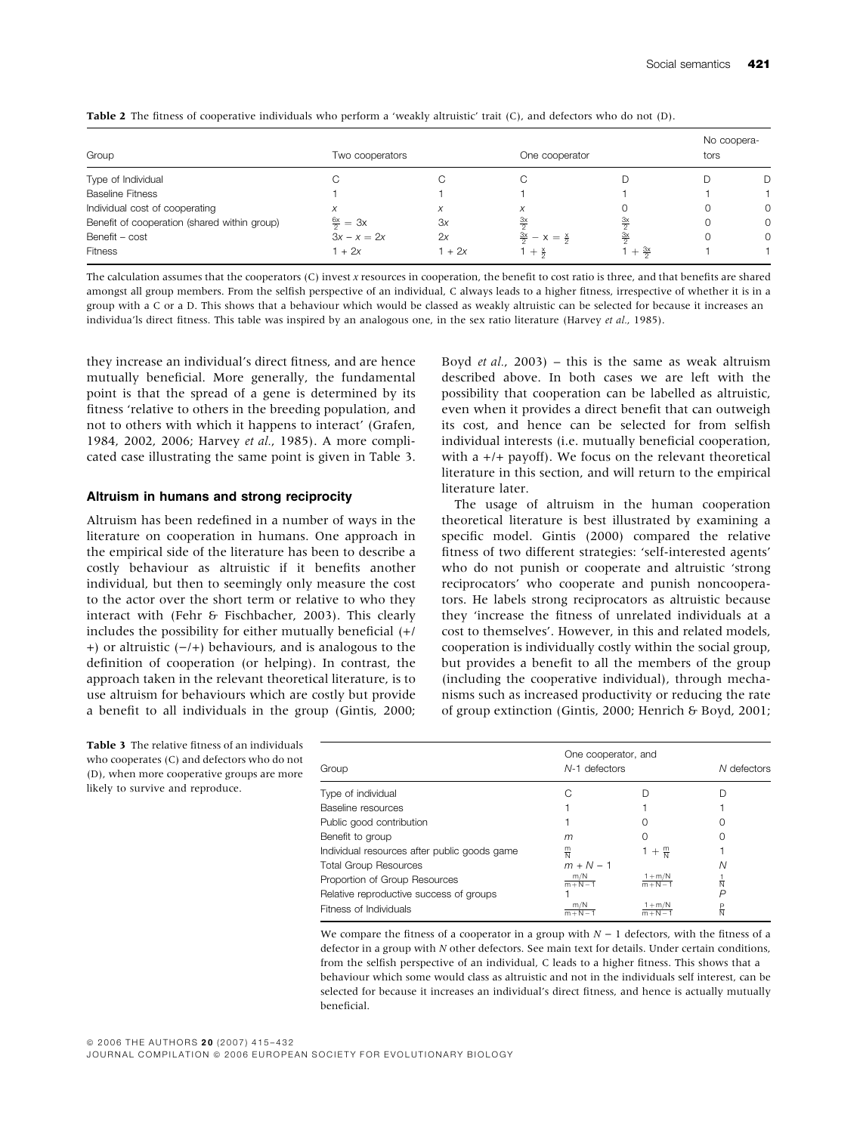| Group                                        | Two cooperators     |          | One cooperator                   |                  | No coopera-<br>tors |   |
|----------------------------------------------|---------------------|----------|----------------------------------|------------------|---------------------|---|
| Type of Individual                           |                     |          |                                  |                  |                     | D |
| <b>Baseline Fitness</b>                      |                     |          |                                  |                  |                     |   |
| Individual cost of cooperating               |                     | X        | X                                |                  |                     | 0 |
| Benefit of cooperation (shared within group) | $\frac{6x}{2} = 3x$ | 3x       | $\frac{3x}{2}$                   | $\frac{3x}{5}$   | 0                   | 0 |
| Benefit - cost                               | $3x - x = 2x$       | 2x       | $\frac{3x}{2} - x = \frac{x}{2}$ | $\frac{3x}{5}$   |                     | 0 |
| <b>Fitness</b>                               | $1 + 2x$            | $1 + 2x$ | $+\frac{x}{2}$                   | $+ \frac{3x}{2}$ |                     |   |

Table 2 The fitness of cooperative individuals who perform a 'weakly altruistic' trait (C), and defectors who do not (D).

The calculation assumes that the cooperators (C) invest x resources in cooperation, the benefit to cost ratio is three, and that benefits are shared amongst all group members. From the selfish perspective of an individual, C always leads to a higher fitness, irrespective of whether it is in a group with a C or a D. This shows that a behaviour which would be classed as weakly altruistic can be selected for because it increases an individua'ls direct fitness. This table was inspired by an analogous one, in the sex ratio literature (Harvey et al., 1985).

they increase an individual's direct fitness, and are hence mutually beneficial. More generally, the fundamental point is that the spread of a gene is determined by its fitness 'relative to others in the breeding population, and not to others with which it happens to interact' (Grafen, 1984, 2002, 2006; Harvey et al., 1985). A more complicated case illustrating the same point is given in Table 3.

#### Altruism in humans and strong reciprocity

Altruism has been redefined in a number of ways in the literature on cooperation in humans. One approach in the empirical side of the literature has been to describe a costly behaviour as altruistic if it benefits another individual, but then to seemingly only measure the cost to the actor over the short term or relative to who they interact with (Fehr & Fischbacher, 2003). This clearly includes the possibility for either mutually beneficial (+/  $+$ ) or altruistic (-/+) behaviours, and is analogous to the definition of cooperation (or helping). In contrast, the approach taken in the relevant theoretical literature, is to use altruism for behaviours which are costly but provide a benefit to all individuals in the group (Gintis, 2000; Boyd et al., 2003) – this is the same as weak altruism described above. In both cases we are left with the possibility that cooperation can be labelled as altruistic, even when it provides a direct benefit that can outweigh its cost, and hence can be selected for from selfish individual interests (i.e. mutually beneficial cooperation, with a +/+ payoff). We focus on the relevant theoretical literature in this section, and will return to the empirical literature later.

The usage of altruism in the human cooperation theoretical literature is best illustrated by examining a specific model. Gintis (2000) compared the relative fitness of two different strategies: 'self-interested agents' who do not punish or cooperate and altruistic 'strong reciprocators' who cooperate and punish noncooperators. He labels strong reciprocators as altruistic because they 'increase the fitness of unrelated individuals at a cost to themselves'. However, in this and related models, cooperation is individually costly within the social group, but provides a benefit to all the members of the group (including the cooperative individual), through mechanisms such as increased productivity or reducing the rate of group extinction (Gintis, 2000; Henrich & Boyd, 2001;

Table 3 The relative fitness of an individuals who cooperates (C) and defectors who do not (D), when more cooperative groups are more likely to survive and reproduce.

|                                              | One cooperator, and           | N defectors              |               |
|----------------------------------------------|-------------------------------|--------------------------|---------------|
| Group                                        | N-1 defectors                 |                          |               |
| Type of individual                           |                               |                          |               |
| Baseline resources                           |                               |                          |               |
| Public good contribution                     |                               |                          |               |
| Benefit to group                             | m                             |                          |               |
| Individual resources after public goods game | 뽑                             | $1 + \frac{m}{N}$        |               |
| <b>Total Group Resources</b>                 | $m + N - 1$                   |                          | N             |
| Proportion of Group Resources                | m/N<br>$m + N - 1$            | $\frac{1+m/N}{m+N-1}$    | ₩             |
| Relative reproductive success of groups      |                               |                          | P             |
| Fitness of Individuals                       | m/N<br>$m + \overline{N - 1}$ | $1 + m/N$<br>$m + N - 1$ | $\frac{P}{N}$ |

We compare the fitness of a cooperator in a group with  $N - 1$  defectors, with the fitness of a defector in a group with N other defectors. See main text for details. Under certain conditions, from the selfish perspective of an individual, C leads to a higher fitness. This shows that a behaviour which some would class as altruistic and not in the individuals self interest, can be selected for because it increases an individual's direct fitness, and hence is actually mutually beneficial.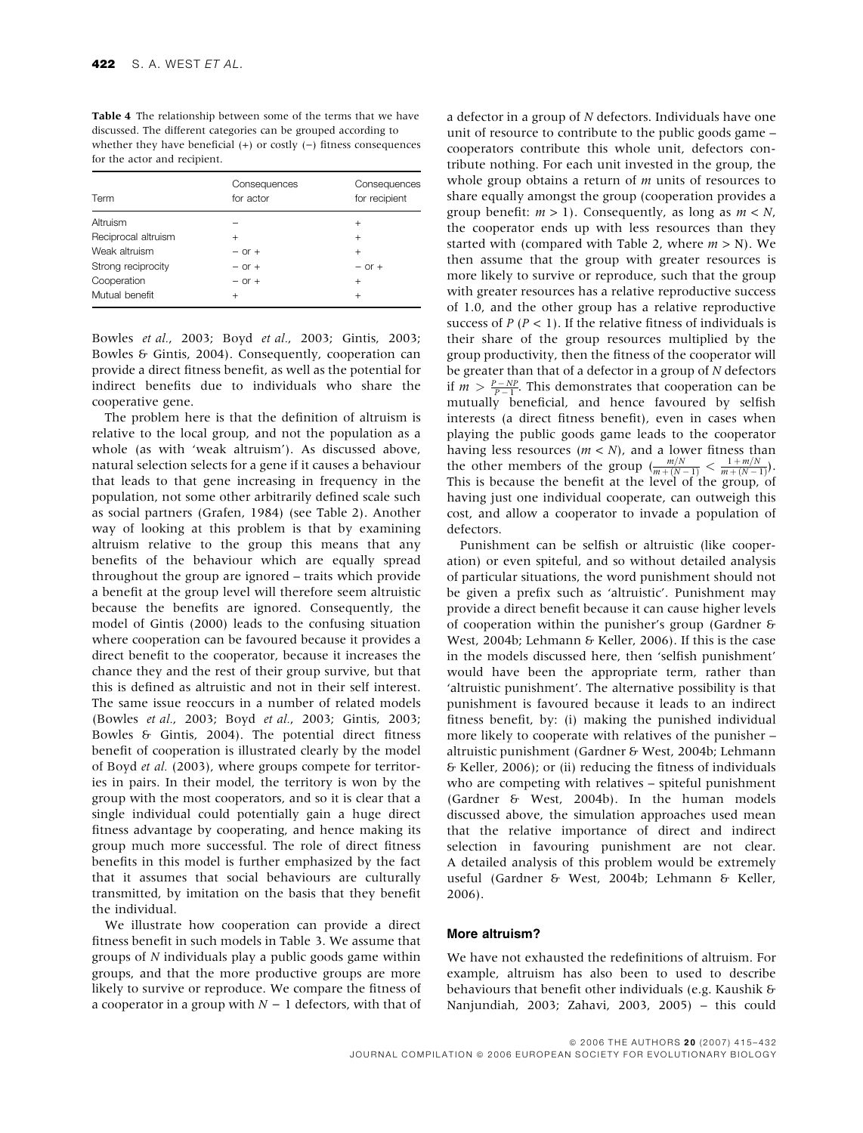Table 4 The relationship between some of the terms that we have discussed. The different categories can be grouped according to whether they have beneficial  $(+)$  or costly  $(-)$  fitness consequences for the actor and recipient.

| Term                | Consequences<br>for actor | Consequences<br>for recipient |  |
|---------------------|---------------------------|-------------------------------|--|
| Altruism            |                           | $^{+}$                        |  |
| Reciprocal altruism | $+$                       | $+$                           |  |
| Weak altruism       | $-$ or $+$                | $^{+}$                        |  |
| Strong reciprocity  | $-$ or $+$                | $-$ or $+$                    |  |
| Cooperation         | $-$ or $+$                | $^{+}$                        |  |
| Mutual benefit      | $+$                       | $^{+}$                        |  |

Bowles et al., 2003; Boyd et al., 2003; Gintis, 2003; Bowles & Gintis, 2004). Consequently, cooperation can provide a direct fitness benefit, as well as the potential for indirect benefits due to individuals who share the cooperative gene.

The problem here is that the definition of altruism is relative to the local group, and not the population as a whole (as with 'weak altruism'). As discussed above, natural selection selects for a gene if it causes a behaviour that leads to that gene increasing in frequency in the population, not some other arbitrarily defined scale such as social partners (Grafen, 1984) (see Table 2). Another way of looking at this problem is that by examining altruism relative to the group this means that any benefits of the behaviour which are equally spread throughout the group are ignored – traits which provide a benefit at the group level will therefore seem altruistic because the benefits are ignored. Consequently, the model of Gintis (2000) leads to the confusing situation where cooperation can be favoured because it provides a direct benefit to the cooperator, because it increases the chance they and the rest of their group survive, but that this is defined as altruistic and not in their self interest. The same issue reoccurs in a number of related models (Bowles et al., 2003; Boyd et al., 2003; Gintis, 2003; Bowles & Gintis, 2004). The potential direct fitness benefit of cooperation is illustrated clearly by the model of Boyd et al. (2003), where groups compete for territories in pairs. In their model, the territory is won by the group with the most cooperators, and so it is clear that a single individual could potentially gain a huge direct fitness advantage by cooperating, and hence making its group much more successful. The role of direct fitness benefits in this model is further emphasized by the fact that it assumes that social behaviours are culturally transmitted, by imitation on the basis that they benefit the individual.

We illustrate how cooperation can provide a direct fitness benefit in such models in Table 3. We assume that groups of N individuals play a public goods game within groups, and that the more productive groups are more likely to survive or reproduce. We compare the fitness of a cooperator in a group with  $N - 1$  defectors, with that of a defector in a group of N defectors. Individuals have one unit of resource to contribute to the public goods game – cooperators contribute this whole unit, defectors contribute nothing. For each unit invested in the group, the whole group obtains a return of  $m$  units of resources to share equally amongst the group (cooperation provides a group benefit:  $m > 1$ ). Consequently, as long as  $m < N$ , the cooperator ends up with less resources than they started with (compared with Table 2, where  $m > N$ ). We then assume that the group with greater resources is more likely to survive or reproduce, such that the group with greater resources has a relative reproductive success of 1.0, and the other group has a relative reproductive success of  $P(P < 1)$ . If the relative fitness of individuals is their share of the group resources multiplied by the group productivity, then the fitness of the cooperator will be greater than that of a defector in a group of N defectors if  $m > \frac{P - NP}{P - 1}$ . This demonstrates that cooperation can be mutually beneficial, and hence favoured by selfish interests (a direct fitness benefit), even in cases when playing the public goods game leads to the cooperator having less resources ( $m < N$ ), and a lower fitness than the other members of the group  $\left(\frac{m/N}{m + (N-1)} \right) \leq \frac{1 + m/N}{m + (N-1)}$ . This is because the benefit at the level of the group, of having just one individual cooperate, can outweigh this cost, and allow a cooperator to invade a population of defectors.

Punishment can be selfish or altruistic (like cooperation) or even spiteful, and so without detailed analysis of particular situations, the word punishment should not be given a prefix such as 'altruistic'. Punishment may provide a direct benefit because it can cause higher levels of cooperation within the punisher's group (Gardner & West, 2004b; Lehmann & Keller, 2006). If this is the case in the models discussed here, then 'selfish punishment' would have been the appropriate term, rather than 'altruistic punishment'. The alternative possibility is that punishment is favoured because it leads to an indirect fitness benefit, by: (i) making the punished individual more likely to cooperate with relatives of the punisher – altruistic punishment (Gardner & West, 2004b; Lehmann & Keller, 2006); or (ii) reducing the fitness of individuals who are competing with relatives – spiteful punishment (Gardner & West, 2004b). In the human models discussed above, the simulation approaches used mean that the relative importance of direct and indirect selection in favouring punishment are not clear. A detailed analysis of this problem would be extremely useful (Gardner & West, 2004b; Lehmann & Keller, 2006).

#### More altruism?

We have not exhausted the redefinitions of altruism. For example, altruism has also been to used to describe behaviours that benefit other individuals (e.g. Kaushik & Nanjundiah, 2003; Zahavi, 2003, 2005) – this could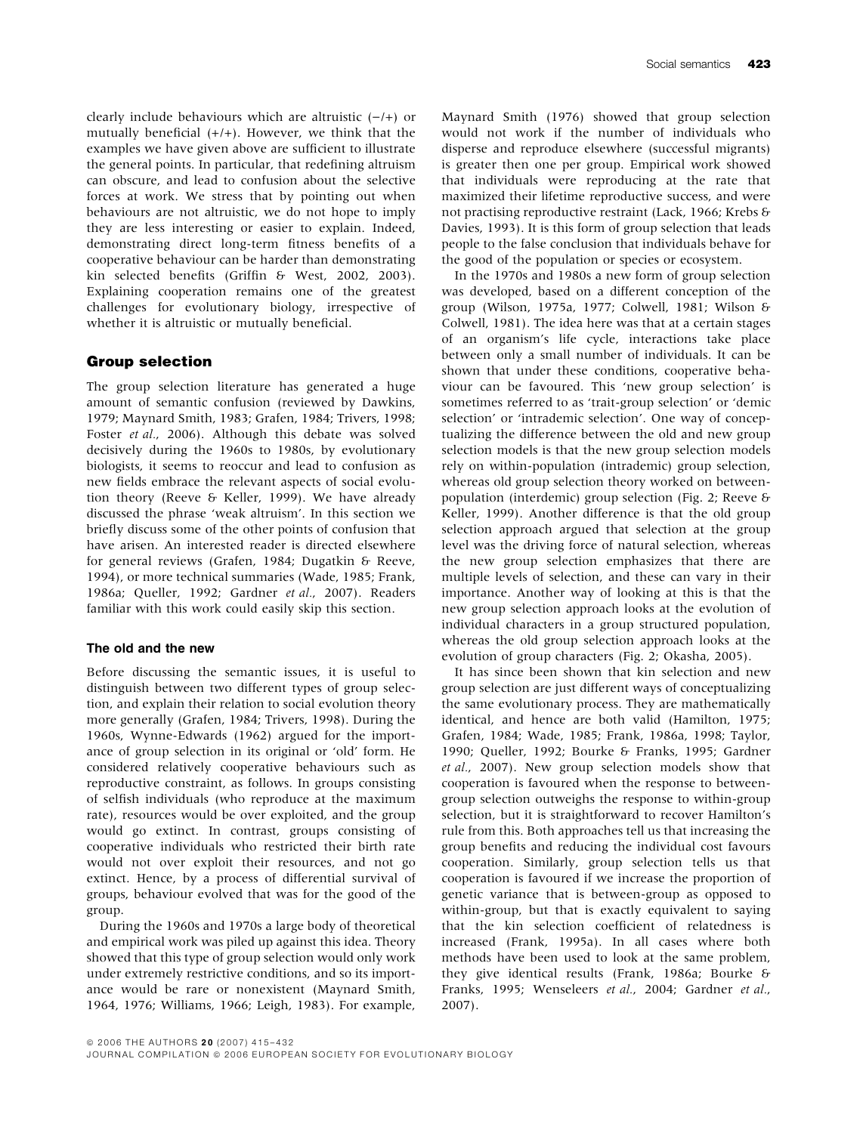clearly include behaviours which are altruistic  $(-/+)$  or mutually beneficial  $(+/+)$ . However, we think that the examples we have given above are sufficient to illustrate the general points. In particular, that redefining altruism can obscure, and lead to confusion about the selective forces at work. We stress that by pointing out when behaviours are not altruistic, we do not hope to imply they are less interesting or easier to explain. Indeed, demonstrating direct long-term fitness benefits of a cooperative behaviour can be harder than demonstrating kin selected benefits (Griffin & West, 2002, 2003). Explaining cooperation remains one of the greatest challenges for evolutionary biology, irrespective of whether it is altruistic or mutually beneficial.

### Group selection

The group selection literature has generated a huge amount of semantic confusion (reviewed by Dawkins, 1979; Maynard Smith, 1983; Grafen, 1984; Trivers, 1998; Foster et al., 2006). Although this debate was solved decisively during the 1960s to 1980s, by evolutionary biologists, it seems to reoccur and lead to confusion as new fields embrace the relevant aspects of social evolution theory (Reeve & Keller, 1999). We have already discussed the phrase 'weak altruism'. In this section we briefly discuss some of the other points of confusion that have arisen. An interested reader is directed elsewhere for general reviews (Grafen, 1984; Dugatkin & Reeve, 1994), or more technical summaries (Wade, 1985; Frank, 1986a; Queller, 1992; Gardner et al., 2007). Readers familiar with this work could easily skip this section.

#### The old and the new

Before discussing the semantic issues, it is useful to distinguish between two different types of group selection, and explain their relation to social evolution theory more generally (Grafen, 1984; Trivers, 1998). During the 1960s, Wynne-Edwards (1962) argued for the importance of group selection in its original or 'old' form. He considered relatively cooperative behaviours such as reproductive constraint, as follows. In groups consisting of selfish individuals (who reproduce at the maximum rate), resources would be over exploited, and the group would go extinct. In contrast, groups consisting of cooperative individuals who restricted their birth rate would not over exploit their resources, and not go extinct. Hence, by a process of differential survival of groups, behaviour evolved that was for the good of the group.

During the 1960s and 1970s a large body of theoretical and empirical work was piled up against this idea. Theory showed that this type of group selection would only work under extremely restrictive conditions, and so its importance would be rare or nonexistent (Maynard Smith, 1964, 1976; Williams, 1966; Leigh, 1983). For example,

Maynard Smith (1976) showed that group selection would not work if the number of individuals who disperse and reproduce elsewhere (successful migrants) is greater then one per group. Empirical work showed that individuals were reproducing at the rate that maximized their lifetime reproductive success, and were not practising reproductive restraint (Lack, 1966; Krebs & Davies, 1993). It is this form of group selection that leads people to the false conclusion that individuals behave for the good of the population or species or ecosystem.

In the 1970s and 1980s a new form of group selection was developed, based on a different conception of the group (Wilson, 1975a, 1977; Colwell, 1981; Wilson & Colwell, 1981). The idea here was that at a certain stages of an organism's life cycle, interactions take place between only a small number of individuals. It can be shown that under these conditions, cooperative behaviour can be favoured. This 'new group selection' is sometimes referred to as 'trait-group selection' or 'demic selection' or 'intrademic selection'. One way of conceptualizing the difference between the old and new group selection models is that the new group selection models rely on within-population (intrademic) group selection, whereas old group selection theory worked on betweenpopulation (interdemic) group selection (Fig. 2; Reeve & Keller, 1999). Another difference is that the old group selection approach argued that selection at the group level was the driving force of natural selection, whereas the new group selection emphasizes that there are multiple levels of selection, and these can vary in their importance. Another way of looking at this is that the new group selection approach looks at the evolution of individual characters in a group structured population, whereas the old group selection approach looks at the evolution of group characters (Fig. 2; Okasha, 2005).

It has since been shown that kin selection and new group selection are just different ways of conceptualizing the same evolutionary process. They are mathematically identical, and hence are both valid (Hamilton, 1975; Grafen, 1984; Wade, 1985; Frank, 1986a, 1998; Taylor, 1990; Queller, 1992; Bourke & Franks, 1995; Gardner et al., 2007). New group selection models show that cooperation is favoured when the response to betweengroup selection outweighs the response to within-group selection, but it is straightforward to recover Hamilton's rule from this. Both approaches tell us that increasing the group benefits and reducing the individual cost favours cooperation. Similarly, group selection tells us that cooperation is favoured if we increase the proportion of genetic variance that is between-group as opposed to within-group, but that is exactly equivalent to saying that the kin selection coefficient of relatedness is increased (Frank, 1995a). In all cases where both methods have been used to look at the same problem, they give identical results (Frank, 1986a; Bourke & Franks, 1995; Wenseleers et al., 2004; Gardner et al., 2007).

<sup>© 2006</sup> THE AUTHORS 20 (2007) 415-432

JOURNAL COMPILATION @ 2006 EUROPEAN SOCIETY FOR EVOLUTIONARY BIOLOGY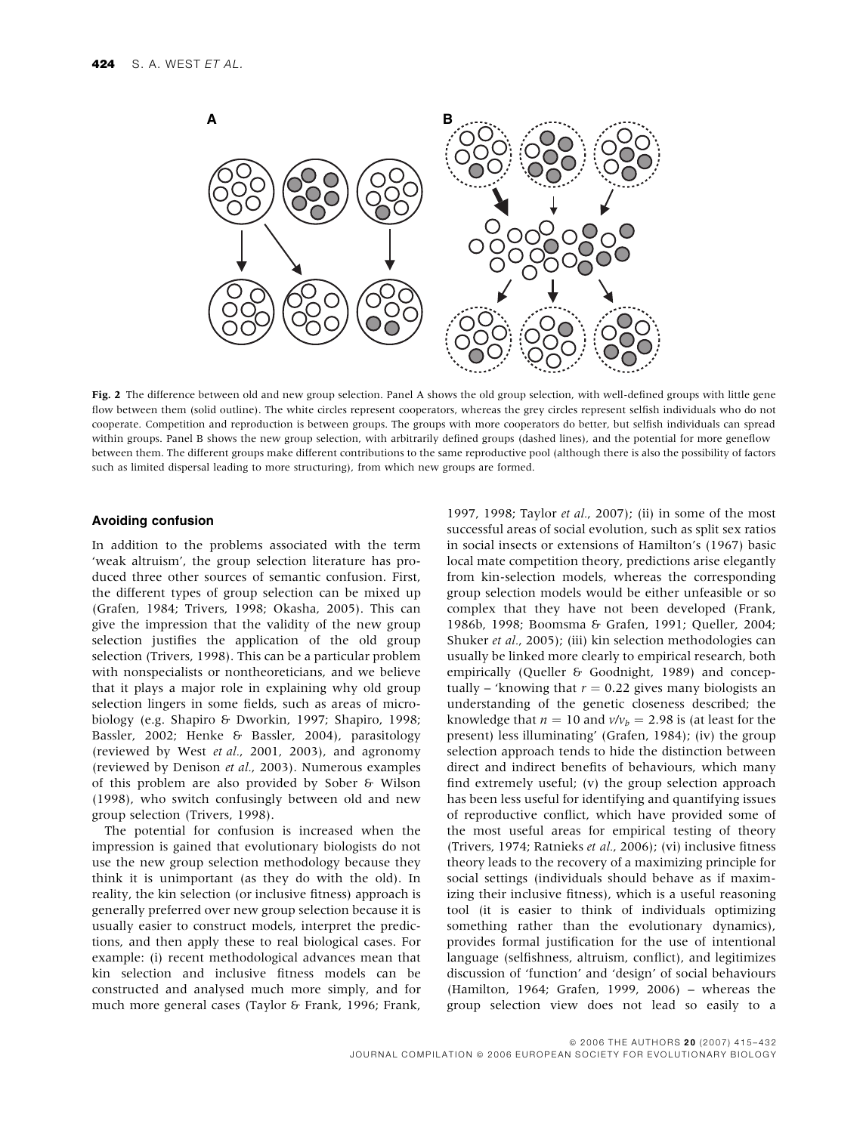

Fig. 2 The difference between old and new group selection. Panel A shows the old group selection, with well-defined groups with little gene flow between them (solid outline). The white circles represent cooperators, whereas the grey circles represent selfish individuals who do not cooperate. Competition and reproduction is between groups. The groups with more cooperators do better, but selfish individuals can spread within groups. Panel B shows the new group selection, with arbitrarily defined groups (dashed lines), and the potential for more geneflow between them. The different groups make different contributions to the same reproductive pool (although there is also the possibility of factors such as limited dispersal leading to more structuring), from which new groups are formed.

#### Avoiding confusion

In addition to the problems associated with the term 'weak altruism', the group selection literature has produced three other sources of semantic confusion. First, the different types of group selection can be mixed up (Grafen, 1984; Trivers, 1998; Okasha, 2005). This can give the impression that the validity of the new group selection justifies the application of the old group selection (Trivers, 1998). This can be a particular problem with nonspecialists or nontheoreticians, and we believe that it plays a major role in explaining why old group selection lingers in some fields, such as areas of microbiology (e.g. Shapiro & Dworkin, 1997; Shapiro, 1998; Bassler, 2002; Henke & Bassler, 2004), parasitology (reviewed by West et al., 2001, 2003), and agronomy (reviewed by Denison et al., 2003). Numerous examples of this problem are also provided by Sober & Wilson (1998), who switch confusingly between old and new group selection (Trivers, 1998).

The potential for confusion is increased when the impression is gained that evolutionary biologists do not use the new group selection methodology because they think it is unimportant (as they do with the old). In reality, the kin selection (or inclusive fitness) approach is generally preferred over new group selection because it is usually easier to construct models, interpret the predictions, and then apply these to real biological cases. For example: (i) recent methodological advances mean that kin selection and inclusive fitness models can be constructed and analysed much more simply, and for much more general cases (Taylor & Frank, 1996; Frank,

1997, 1998; Taylor et al., 2007); (ii) in some of the most successful areas of social evolution, such as split sex ratios in social insects or extensions of Hamilton's (1967) basic local mate competition theory, predictions arise elegantly from kin-selection models, whereas the corresponding group selection models would be either unfeasible or so complex that they have not been developed (Frank, 1986b, 1998; Boomsma & Grafen, 1991; Queller, 2004; Shuker et al., 2005); (iii) kin selection methodologies can usually be linked more clearly to empirical research, both empirically (Queller & Goodnight, 1989) and conceptually – 'knowing that  $r = 0.22$  gives many biologists an understanding of the genetic closeness described; the knowledge that  $n = 10$  and  $v/v_b = 2.98$  is (at least for the present) less illuminating' (Grafen, 1984); (iv) the group selection approach tends to hide the distinction between direct and indirect benefits of behaviours, which many find extremely useful; (v) the group selection approach has been less useful for identifying and quantifying issues of reproductive conflict, which have provided some of the most useful areas for empirical testing of theory (Trivers, 1974; Ratnieks et al., 2006); (vi) inclusive fitness theory leads to the recovery of a maximizing principle for social settings (individuals should behave as if maximizing their inclusive fitness), which is a useful reasoning tool (it is easier to think of individuals optimizing something rather than the evolutionary dynamics), provides formal justification for the use of intentional language (selfishness, altruism, conflict), and legitimizes discussion of 'function' and 'design' of social behaviours (Hamilton, 1964; Grafen, 1999, 2006) – whereas the group selection view does not lead so easily to a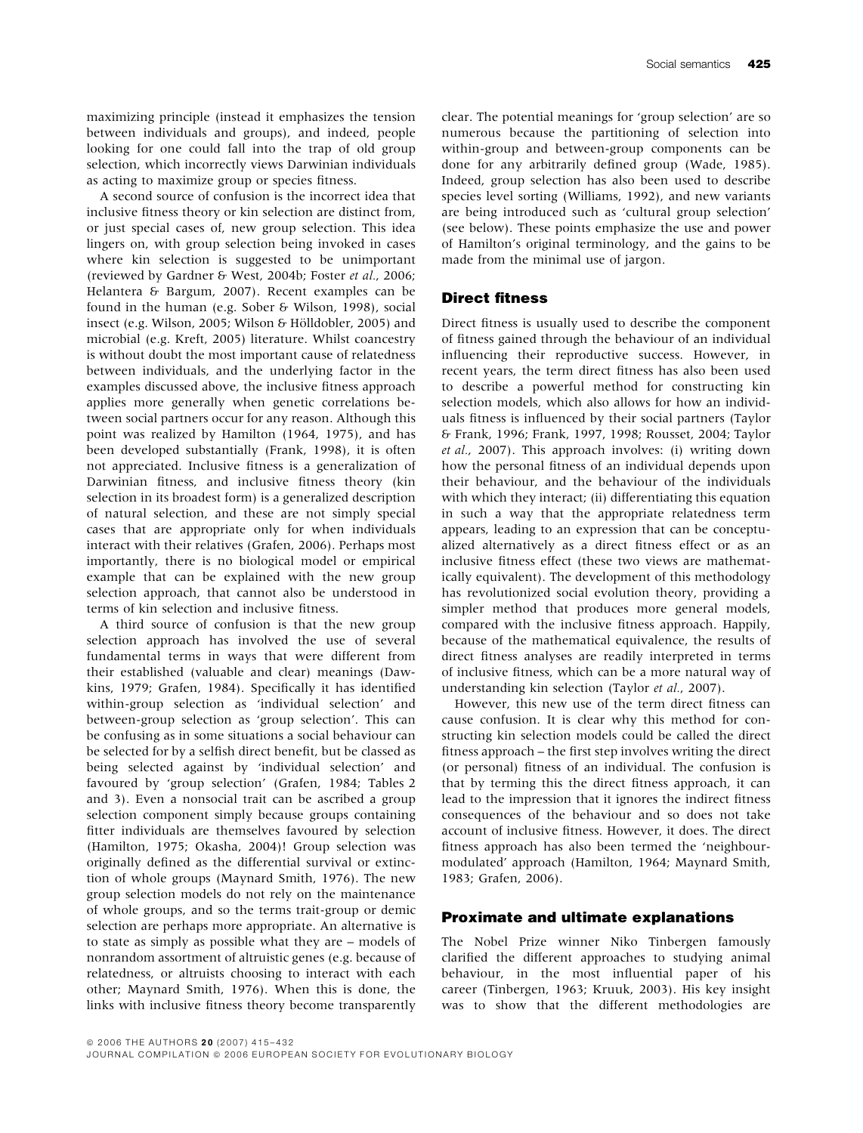maximizing principle (instead it emphasizes the tension between individuals and groups), and indeed, people looking for one could fall into the trap of old group selection, which incorrectly views Darwinian individuals as acting to maximize group or species fitness.

A second source of confusion is the incorrect idea that inclusive fitness theory or kin selection are distinct from, or just special cases of, new group selection. This idea lingers on, with group selection being invoked in cases where kin selection is suggested to be unimportant (reviewed by Gardner & West, 2004b; Foster et al., 2006; Helantera & Bargum, 2007). Recent examples can be found in the human (e.g. Sober & Wilson, 1998), social insect (e.g. Wilson, 2005; Wilson & Hölldobler, 2005) and microbial (e.g. Kreft, 2005) literature. Whilst coancestry is without doubt the most important cause of relatedness between individuals, and the underlying factor in the examples discussed above, the inclusive fitness approach applies more generally when genetic correlations between social partners occur for any reason. Although this point was realized by Hamilton (1964, 1975), and has been developed substantially (Frank, 1998), it is often not appreciated. Inclusive fitness is a generalization of Darwinian fitness, and inclusive fitness theory (kin selection in its broadest form) is a generalized description of natural selection, and these are not simply special cases that are appropriate only for when individuals interact with their relatives (Grafen, 2006). Perhaps most importantly, there is no biological model or empirical example that can be explained with the new group selection approach, that cannot also be understood in terms of kin selection and inclusive fitness.

A third source of confusion is that the new group selection approach has involved the use of several fundamental terms in ways that were different from their established (valuable and clear) meanings (Dawkins, 1979; Grafen, 1984). Specifically it has identified within-group selection as 'individual selection' and between-group selection as 'group selection'. This can be confusing as in some situations a social behaviour can be selected for by a selfish direct benefit, but be classed as being selected against by 'individual selection' and favoured by 'group selection' (Grafen, 1984; Tables 2 and 3). Even a nonsocial trait can be ascribed a group selection component simply because groups containing fitter individuals are themselves favoured by selection (Hamilton, 1975; Okasha, 2004)! Group selection was originally defined as the differential survival or extinction of whole groups (Maynard Smith, 1976). The new group selection models do not rely on the maintenance of whole groups, and so the terms trait-group or demic selection are perhaps more appropriate. An alternative is to state as simply as possible what they are – models of nonrandom assortment of altruistic genes (e.g. because of relatedness, or altruists choosing to interact with each other; Maynard Smith, 1976). When this is done, the links with inclusive fitness theory become transparently clear. The potential meanings for 'group selection' are so numerous because the partitioning of selection into within-group and between-group components can be done for any arbitrarily defined group (Wade, 1985). Indeed, group selection has also been used to describe species level sorting (Williams, 1992), and new variants are being introduced such as 'cultural group selection' (see below). These points emphasize the use and power of Hamilton's original terminology, and the gains to be made from the minimal use of jargon.

# Direct fitness

Direct fitness is usually used to describe the component of fitness gained through the behaviour of an individual influencing their reproductive success. However, in recent years, the term direct fitness has also been used to describe a powerful method for constructing kin selection models, which also allows for how an individuals fitness is influenced by their social partners (Taylor & Frank, 1996; Frank, 1997, 1998; Rousset, 2004; Taylor et al., 2007). This approach involves: (i) writing down how the personal fitness of an individual depends upon their behaviour, and the behaviour of the individuals with which they interact; (ii) differentiating this equation in such a way that the appropriate relatedness term appears, leading to an expression that can be conceptualized alternatively as a direct fitness effect or as an inclusive fitness effect (these two views are mathematically equivalent). The development of this methodology has revolutionized social evolution theory, providing a simpler method that produces more general models, compared with the inclusive fitness approach. Happily, because of the mathematical equivalence, the results of direct fitness analyses are readily interpreted in terms of inclusive fitness, which can be a more natural way of understanding kin selection (Taylor et al., 2007).

However, this new use of the term direct fitness can cause confusion. It is clear why this method for constructing kin selection models could be called the direct fitness approach – the first step involves writing the direct (or personal) fitness of an individual. The confusion is that by terming this the direct fitness approach, it can lead to the impression that it ignores the indirect fitness consequences of the behaviour and so does not take account of inclusive fitness. However, it does. The direct fitness approach has also been termed the 'neighbourmodulated' approach (Hamilton, 1964; Maynard Smith, 1983; Grafen, 2006).

### Proximate and ultimate explanations

The Nobel Prize winner Niko Tinbergen famously clarified the different approaches to studying animal behaviour, in the most influential paper of his career (Tinbergen, 1963; Kruuk, 2003). His key insight was to show that the different methodologies are

JOURNAL COMPILATION ª 2006 EUROPEAN SOCIETY FOR EVOLUTIONARY BIOLOGY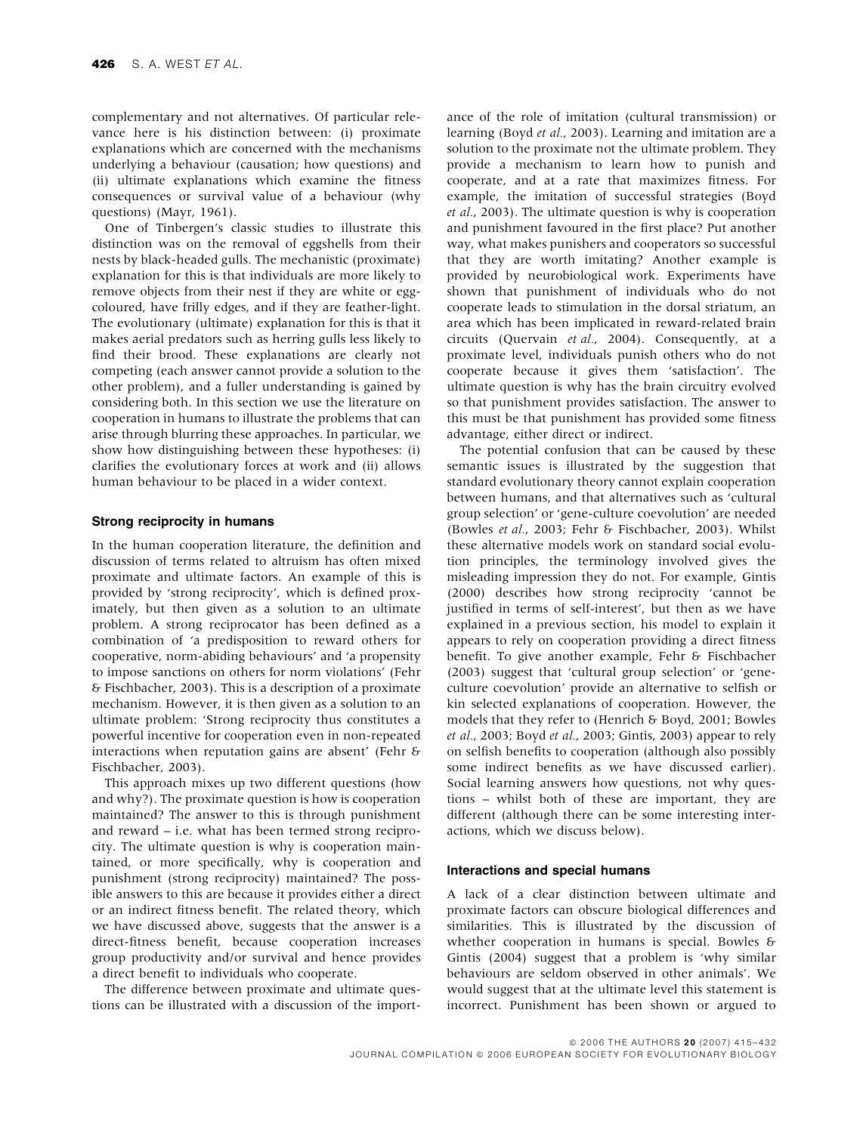complementary and not alternatives. Of particular relevance here is his distinction between: (i) proximate explanations which are concerned with the mechanisms underlying a behaviour (causation; how questions) and (ii) ultimate explanations which examine the fitness consequences or survival value of a behaviour (why questions) (Mayr, 1961).

One of Tinbergen's classic studies to illustrate this distinction was on the removal of eggshells from their nests by black-headed gulls. The mechanistic (proximate) explanation for this is that individuals are more likely to remove objects from their nest if they are white or eggcoloured, have frilly edges, and if they are feather-light. The evolutionary (ultimate) explanation for this is that it makes aerial predators such as herring gulls less likely to find their brood. These explanations are clearly not competing (each answer cannot provide a solution to the other problem), and a fuller understanding is gained by considering both. In this section we use the literature on cooperation in humans to illustrate the problems that can arise through blurring these approaches. In particular, we show how distinguishing between these hypotheses: (i) clarifies the evolutionary forces at work and (ii) allows human behaviour to be placed in a wider context.

#### Strong reciprocity in humans

In the human cooperation literature, the definition and discussion of terms related to altruism has often mixed proximate and ultimate factors. An example of this is provided by 'strong reciprocity', which is defined proximately, but then given as a solution to an ultimate problem. A strong reciprocator has been defined as a combination of 'a predisposition to reward others for cooperative, norm-abiding behaviours' and 'a propensity to impose sanctions on others for norm violations' (Fehr & Fischbacher, 2003). This is a description of a proximate mechanism. However, it is then given as a solution to an ultimate problem: 'Strong reciprocity thus constitutes a powerful incentive for cooperation even in non-repeated interactions when reputation gains are absent' (Fehr & Fischbacher, 2003).

This approach mixes up two different questions (how and why?). The proximate question is how is cooperation maintained? The answer to this is through punishment and reward – i.e. what has been termed strong reciprocity. The ultimate question is why is cooperation maintained, or more specifically, why is cooperation and punishment (strong reciprocity) maintained? The possible answers to this are because it provides either a direct or an indirect fitness benefit. The related theory, which we have discussed above, suggests that the answer is a direct-fitness benefit, because cooperation increases group productivity and/or survival and hence provides a direct benefit to individuals who cooperate.

The difference between proximate and ultimate questions can be illustrated with a discussion of the importance of the role of imitation (cultural transmission) or learning (Boyd et al., 2003). Learning and imitation are a solution to the proximate not the ultimate problem. They provide a mechanism to learn how to punish and cooperate, and at a rate that maximizes fitness. For example, the imitation of successful strategies (Boyd et al., 2003). The ultimate question is why is cooperation and punishment favoured in the first place? Put another way, what makes punishers and cooperators so successful that they are worth imitating? Another example is provided by neurobiological work. Experiments have shown that punishment of individuals who do not cooperate leads to stimulation in the dorsal striatum, an area which has been implicated in reward-related brain circuits (Quervain et al., 2004). Consequently, at a proximate level, individuals punish others who do not cooperate because it gives them 'satisfaction'. The ultimate question is why has the brain circuitry evolved so that punishment provides satisfaction. The answer to this must be that punishment has provided some fitness advantage, either direct or indirect.

The potential confusion that can be caused by these semantic issues is illustrated by the suggestion that standard evolutionary theory cannot explain cooperation between humans, and that alternatives such as 'cultural group selection' or 'gene-culture coevolution' are needed (Bowles et al., 2003; Fehr & Fischbacher, 2003). Whilst these alternative models work on standard social evolution principles, the terminology involved gives the misleading impression they do not. For example, Gintis (2000) describes how strong reciprocity 'cannot be justified in terms of self-interest', but then as we have explained in a previous section, his model to explain it appears to rely on cooperation providing a direct fitness benefit. To give another example, Fehr & Fischbacher (2003) suggest that 'cultural group selection' or 'geneculture coevolution' provide an alternative to selfish or kin selected explanations of cooperation. However, the models that they refer to (Henrich & Boyd, 2001; Bowles et al., 2003; Boyd et al., 2003; Gintis, 2003) appear to rely on selfish benefits to cooperation (although also possibly some indirect benefits as we have discussed earlier). Social learning answers how questions, not why questions – whilst both of these are important, they are different (although there can be some interesting interactions, which we discuss below).

### Interactions and special humans

A lack of a clear distinction between ultimate and proximate factors can obscure biological differences and similarities. This is illustrated by the discussion of whether cooperation in humans is special. Bowles & Gintis (2004) suggest that a problem is 'why similar behaviours are seldom observed in other animals'. We would suggest that at the ultimate level this statement is incorrect. Punishment has been shown or argued to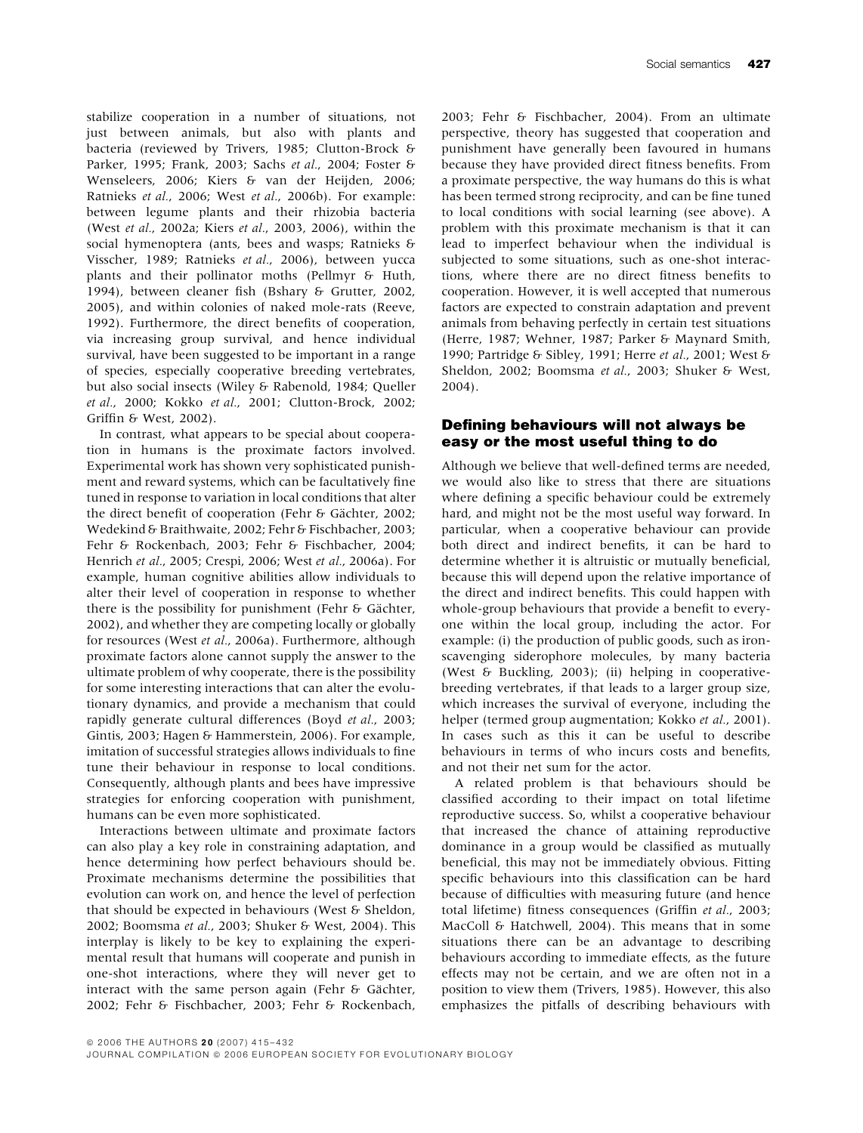stabilize cooperation in a number of situations, not just between animals, but also with plants and bacteria (reviewed by Trivers, 1985; Clutton-Brock & Parker, 1995; Frank, 2003; Sachs et al., 2004; Foster & Wenseleers, 2006; Kiers & van der Heijden, 2006; Ratnieks et al., 2006; West et al., 2006b). For example: between legume plants and their rhizobia bacteria (West et al., 2002a; Kiers et al., 2003, 2006), within the social hymenoptera (ants, bees and wasps; Ratnieks & Visscher, 1989; Ratnieks et al., 2006), between yucca plants and their pollinator moths (Pellmyr & Huth, 1994), between cleaner fish (Bshary & Grutter, 2002, 2005), and within colonies of naked mole-rats (Reeve, 1992). Furthermore, the direct benefits of cooperation, via increasing group survival, and hence individual survival, have been suggested to be important in a range of species, especially cooperative breeding vertebrates, but also social insects (Wiley & Rabenold, 1984; Queller et al., 2000; Kokko et al., 2001; Clutton-Brock, 2002; Griffin & West, 2002).

In contrast, what appears to be special about cooperation in humans is the proximate factors involved. Experimental work has shown very sophisticated punishment and reward systems, which can be facultatively fine tuned in response to variation in local conditions that alter the direct benefit of cooperation (Fehr & Gächter, 2002; Wedekind & Braithwaite, 2002; Fehr & Fischbacher, 2003; Fehr & Rockenbach, 2003; Fehr & Fischbacher, 2004; Henrich et al., 2005; Crespi, 2006; West et al., 2006a). For example, human cognitive abilities allow individuals to alter their level of cooperation in response to whether there is the possibility for punishment (Fehr & Gächter, 2002), and whether they are competing locally or globally for resources (West et al., 2006a). Furthermore, although proximate factors alone cannot supply the answer to the ultimate problem of why cooperate, there is the possibility for some interesting interactions that can alter the evolutionary dynamics, and provide a mechanism that could rapidly generate cultural differences (Boyd et al., 2003; Gintis, 2003; Hagen & Hammerstein, 2006). For example, imitation of successful strategies allows individuals to fine tune their behaviour in response to local conditions. Consequently, although plants and bees have impressive strategies for enforcing cooperation with punishment, humans can be even more sophisticated.

Interactions between ultimate and proximate factors can also play a key role in constraining adaptation, and hence determining how perfect behaviours should be. Proximate mechanisms determine the possibilities that evolution can work on, and hence the level of perfection that should be expected in behaviours (West & Sheldon, 2002; Boomsma et al., 2003; Shuker & West, 2004). This interplay is likely to be key to explaining the experimental result that humans will cooperate and punish in one-shot interactions, where they will never get to interact with the same person again (Fehr  $6$  Gächter, 2002; Fehr & Fischbacher, 2003; Fehr & Rockenbach,

2003; Fehr & Fischbacher, 2004). From an ultimate perspective, theory has suggested that cooperation and punishment have generally been favoured in humans because they have provided direct fitness benefits. From a proximate perspective, the way humans do this is what has been termed strong reciprocity, and can be fine tuned to local conditions with social learning (see above). A problem with this proximate mechanism is that it can lead to imperfect behaviour when the individual is subjected to some situations, such as one-shot interactions, where there are no direct fitness benefits to cooperation. However, it is well accepted that numerous factors are expected to constrain adaptation and prevent animals from behaving perfectly in certain test situations (Herre, 1987; Wehner, 1987; Parker & Maynard Smith, 1990; Partridge & Sibley, 1991; Herre et al., 2001; West & Sheldon, 2002; Boomsma et al., 2003; Shuker & West, 2004).

### Defining behaviours will not always be easy or the most useful thing to do

Although we believe that well-defined terms are needed, we would also like to stress that there are situations where defining a specific behaviour could be extremely hard, and might not be the most useful way forward. In particular, when a cooperative behaviour can provide both direct and indirect benefits, it can be hard to determine whether it is altruistic or mutually beneficial, because this will depend upon the relative importance of the direct and indirect benefits. This could happen with whole-group behaviours that provide a benefit to everyone within the local group, including the actor. For example: (i) the production of public goods, such as ironscavenging siderophore molecules, by many bacteria (West & Buckling, 2003); (ii) helping in cooperativebreeding vertebrates, if that leads to a larger group size, which increases the survival of everyone, including the helper (termed group augmentation; Kokko et al., 2001). In cases such as this it can be useful to describe behaviours in terms of who incurs costs and benefits, and not their net sum for the actor.

A related problem is that behaviours should be classified according to their impact on total lifetime reproductive success. So, whilst a cooperative behaviour that increased the chance of attaining reproductive dominance in a group would be classified as mutually beneficial, this may not be immediately obvious. Fitting specific behaviours into this classification can be hard because of difficulties with measuring future (and hence total lifetime) fitness consequences (Griffin et al., 2003; MacColl & Hatchwell, 2004). This means that in some situations there can be an advantage to describing behaviours according to immediate effects, as the future effects may not be certain, and we are often not in a position to view them (Trivers, 1985). However, this also emphasizes the pitfalls of describing behaviours with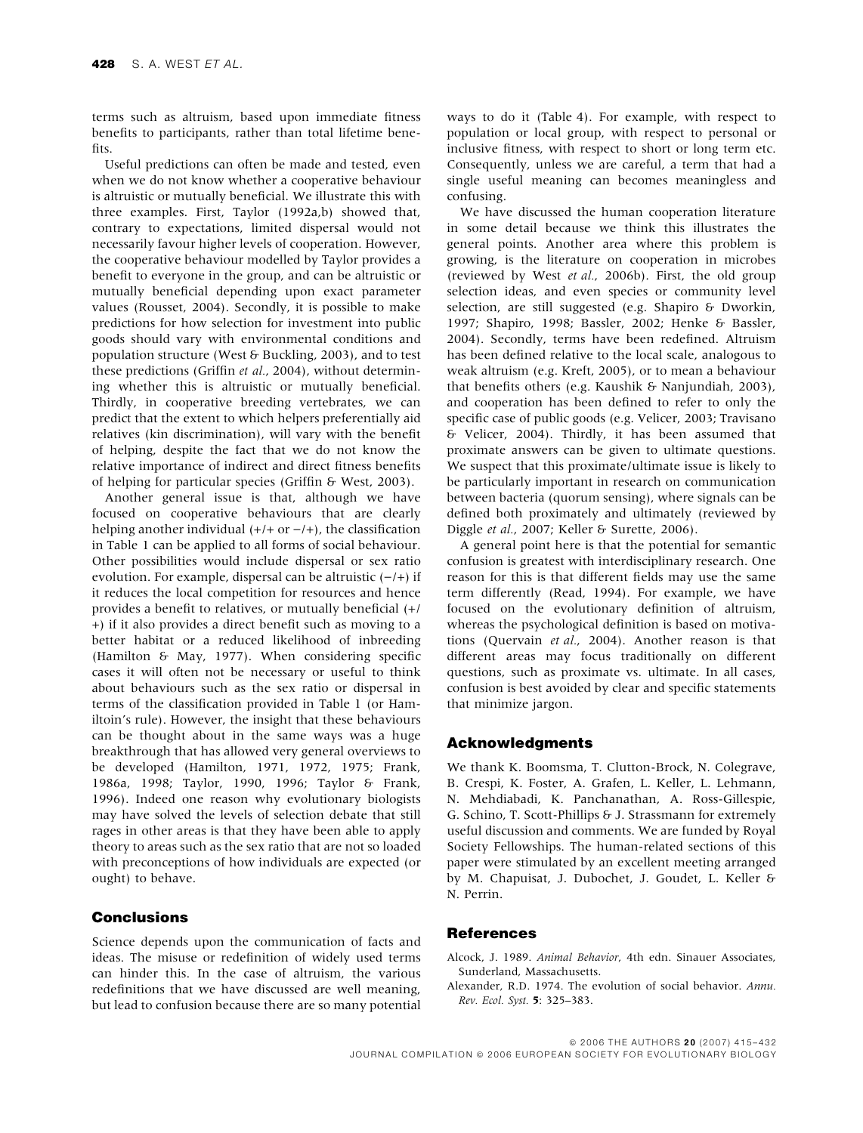terms such as altruism, based upon immediate fitness benefits to participants, rather than total lifetime benefits.

Useful predictions can often be made and tested, even when we do not know whether a cooperative behaviour is altruistic or mutually beneficial. We illustrate this with three examples. First, Taylor (1992a,b) showed that, contrary to expectations, limited dispersal would not necessarily favour higher levels of cooperation. However, the cooperative behaviour modelled by Taylor provides a benefit to everyone in the group, and can be altruistic or mutually beneficial depending upon exact parameter values (Rousset, 2004). Secondly, it is possible to make predictions for how selection for investment into public goods should vary with environmental conditions and population structure (West & Buckling, 2003), and to test these predictions (Griffin et al., 2004), without determining whether this is altruistic or mutually beneficial. Thirdly, in cooperative breeding vertebrates, we can predict that the extent to which helpers preferentially aid relatives (kin discrimination), will vary with the benefit of helping, despite the fact that we do not know the relative importance of indirect and direct fitness benefits of helping for particular species (Griffin & West, 2003).

Another general issue is that, although we have focused on cooperative behaviours that are clearly helping another individual  $(+/+ or -/+)$ , the classification in Table 1 can be applied to all forms of social behaviour. Other possibilities would include dispersal or sex ratio evolution. For example, dispersal can be altruistic  $(-/+)$  if it reduces the local competition for resources and hence provides a benefit to relatives, or mutually beneficial (+/ +) if it also provides a direct benefit such as moving to a better habitat or a reduced likelihood of inbreeding (Hamilton & May, 1977). When considering specific cases it will often not be necessary or useful to think about behaviours such as the sex ratio or dispersal in terms of the classification provided in Table 1 (or Hamiltoin's rule). However, the insight that these behaviours can be thought about in the same ways was a huge breakthrough that has allowed very general overviews to be developed (Hamilton, 1971, 1972, 1975; Frank, 1986a, 1998; Taylor, 1990, 1996; Taylor & Frank, 1996). Indeed one reason why evolutionary biologists may have solved the levels of selection debate that still rages in other areas is that they have been able to apply theory to areas such as the sex ratio that are not so loaded with preconceptions of how individuals are expected (or ought) to behave.

# Conclusions

Science depends upon the communication of facts and ideas. The misuse or redefinition of widely used terms can hinder this. In the case of altruism, the various redefinitions that we have discussed are well meaning, but lead to confusion because there are so many potential ways to do it (Table 4). For example, with respect to population or local group, with respect to personal or inclusive fitness, with respect to short or long term etc. Consequently, unless we are careful, a term that had a single useful meaning can becomes meaningless and confusing.

We have discussed the human cooperation literature in some detail because we think this illustrates the general points. Another area where this problem is growing, is the literature on cooperation in microbes (reviewed by West et al., 2006b). First, the old group selection ideas, and even species or community level selection, are still suggested (e.g. Shapiro & Dworkin, 1997; Shapiro, 1998; Bassler, 2002; Henke & Bassler, 2004). Secondly, terms have been redefined. Altruism has been defined relative to the local scale, analogous to weak altruism (e.g. Kreft, 2005), or to mean a behaviour that benefits others (e.g. Kaushik & Nanjundiah, 2003), and cooperation has been defined to refer to only the specific case of public goods (e.g. Velicer, 2003; Travisano & Velicer, 2004). Thirdly, it has been assumed that proximate answers can be given to ultimate questions. We suspect that this proximate/ultimate issue is likely to be particularly important in research on communication between bacteria (quorum sensing), where signals can be defined both proximately and ultimately (reviewed by Diggle et al., 2007; Keller & Surette, 2006).

A general point here is that the potential for semantic confusion is greatest with interdisciplinary research. One reason for this is that different fields may use the same term differently (Read, 1994). For example, we have focused on the evolutionary definition of altruism, whereas the psychological definition is based on motivations (Quervain et al., 2004). Another reason is that different areas may focus traditionally on different questions, such as proximate vs. ultimate. In all cases, confusion is best avoided by clear and specific statements that minimize jargon.

# Acknowledgments

We thank K. Boomsma, T. Clutton-Brock, N. Colegrave, B. Crespi, K. Foster, A. Grafen, L. Keller, L. Lehmann, N. Mehdiabadi, K. Panchanathan, A. Ross-Gillespie, G. Schino, T. Scott-Phillips & J. Strassmann for extremely useful discussion and comments. We are funded by Royal Society Fellowships. The human-related sections of this paper were stimulated by an excellent meeting arranged by M. Chapuisat, J. Dubochet, J. Goudet, L. Keller & N. Perrin.

# References

- Alcock, J. 1989. Animal Behavior, 4th edn. Sinauer Associates, Sunderland, Massachusetts.
- Alexander, R.D. 1974. The evolution of social behavior. Annu. Rev. Ecol. Syst. 5: 325–383.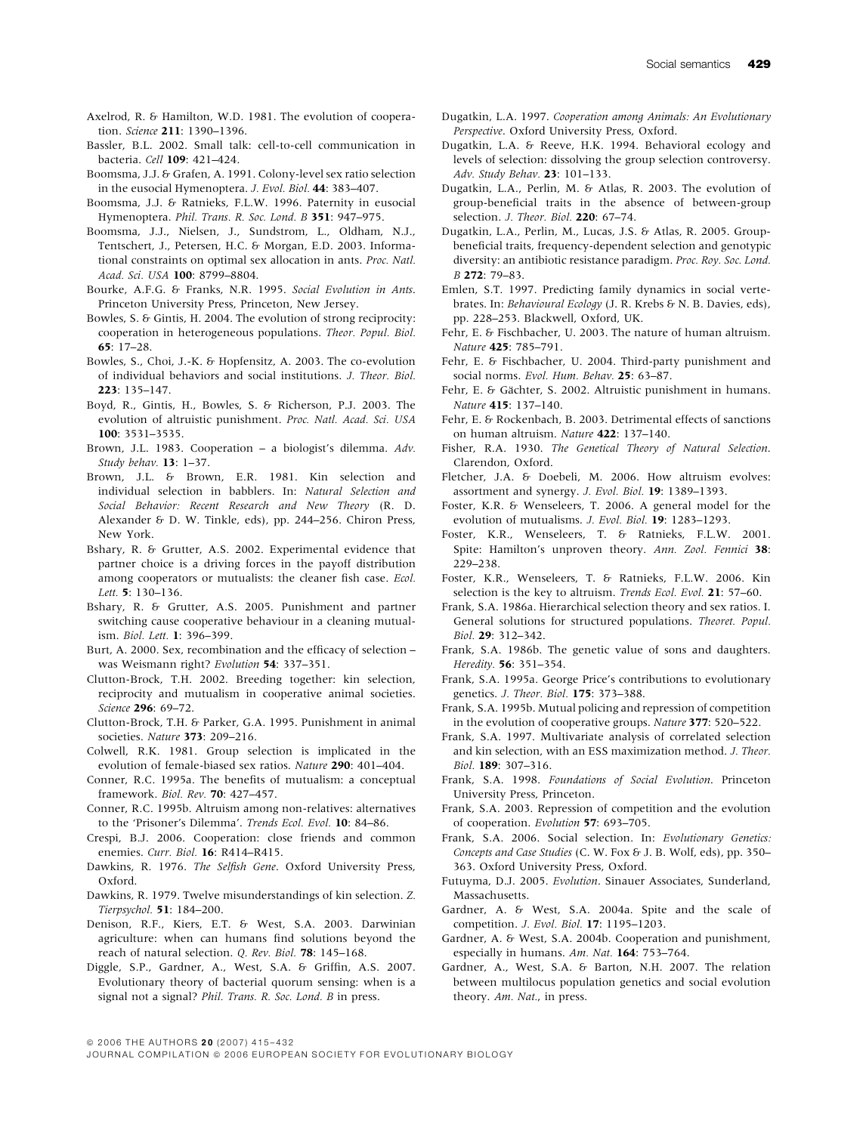- Axelrod, R. & Hamilton, W.D. 1981. The evolution of cooperation. Science 211: 1390–1396.
- Bassler, B.L. 2002. Small talk: cell-to-cell communication in bacteria. Cell 109: 421–424.
- Boomsma, J.J. & Grafen, A. 1991. Colony-level sex ratio selection in the eusocial Hymenoptera. J. Evol. Biol. 44: 383–407.
- Boomsma, J.J. & Ratnieks, F.L.W. 1996. Paternity in eusocial Hymenoptera. Phil. Trans. R. Soc. Lond. B 351: 947-975.
- Boomsma, J.J., Nielsen, J., Sundstrom, L., Oldham, N.J., Tentschert, J., Petersen, H.C. & Morgan, E.D. 2003. Informational constraints on optimal sex allocation in ants. Proc. Natl. Acad. Sci. USA 100: 8799–8804.
- Bourke, A.F.G. & Franks, N.R. 1995. Social Evolution in Ants. Princeton University Press, Princeton, New Jersey.
- Bowles, S. & Gintis, H. 2004. The evolution of strong reciprocity: cooperation in heterogeneous populations. Theor. Popul. Biol.  $65: 17-28$
- Bowles, S., Choi, J.-K. & Hopfensitz, A. 2003. The co-evolution of individual behaviors and social institutions. J. Theor. Biol. 223: 135–147.
- Boyd, R., Gintis, H., Bowles, S. & Richerson, P.J. 2003. The evolution of altruistic punishment. Proc. Natl. Acad. Sci. USA 100: 3531–3535.
- Brown, J.L. 1983. Cooperation a biologist's dilemma. Adv. Study behav. 13: 1–37.
- Brown, J.L. & Brown, E.R. 1981. Kin selection and individual selection in babblers. In: Natural Selection and Social Behavior: Recent Research and New Theory (R. D. Alexander & D. W. Tinkle, eds), pp. 244–256. Chiron Press, New York.
- Bshary, R. & Grutter, A.S. 2002. Experimental evidence that partner choice is a driving forces in the payoff distribution among cooperators or mutualists: the cleaner fish case. Ecol. Lett. 5: 130–136.
- Bshary, R. & Grutter, A.S. 2005. Punishment and partner switching cause cooperative behaviour in a cleaning mutualism. Biol. Lett. 1: 396–399.
- Burt, A. 2000. Sex, recombination and the efficacy of selection was Weismann right? Evolution 54: 337–351.
- Clutton-Brock, T.H. 2002. Breeding together: kin selection, reciprocity and mutualism in cooperative animal societies. Science **296**: 69–72.
- Clutton-Brock, T.H. & Parker, G.A. 1995. Punishment in animal societies. Nature 373: 209–216.
- Colwell, R.K. 1981. Group selection is implicated in the evolution of female-biased sex ratios. Nature 290: 401–404.
- Conner, R.C. 1995a. The benefits of mutualism: a conceptual framework. Biol. Rev. 70: 427–457.
- Conner, R.C. 1995b. Altruism among non-relatives: alternatives to the 'Prisoner's Dilemma'. Trends Ecol. Evol. 10: 84–86.
- Crespi, B.J. 2006. Cooperation: close friends and common enemies. Curr. Biol. 16: R414-R415.
- Dawkins, R. 1976. The Selfish Gene. Oxford University Press, Oxford.
- Dawkins, R. 1979. Twelve misunderstandings of kin selection. Z. Tierpsychol. 51: 184–200.
- Denison, R.F., Kiers, E.T. & West, S.A. 2003. Darwinian agriculture: when can humans find solutions beyond the reach of natural selection. Q. Rev. Biol. 78: 145–168.
- Diggle, S.P., Gardner, A., West, S.A. & Griffin, A.S. 2007. Evolutionary theory of bacterial quorum sensing: when is a signal not a signal? Phil. Trans. R. Soc. Lond. B in press.
- Dugatkin, L.A. 1997. Cooperation among Animals: An Evolutionary Perspective. Oxford University Press, Oxford.
- Dugatkin, L.A. & Reeve, H.K. 1994. Behavioral ecology and levels of selection: dissolving the group selection controversy. Adv. Study Behav. 23: 101–133.
- Dugatkin, L.A., Perlin, M. & Atlas, R. 2003. The evolution of group-beneficial traits in the absence of between-group selection. *J. Theor. Biol.* **220**: 67-74.
- Dugatkin, L.A., Perlin, M., Lucas, J.S. & Atlas, R. 2005. Groupbeneficial traits, frequency-dependent selection and genotypic diversity: an antibiotic resistance paradigm. Proc. Roy. Soc. Lond. B 272: 79–83.
- Emlen, S.T. 1997. Predicting family dynamics in social vertebrates. In: Behavioural Ecology (J. R. Krebs & N. B. Davies, eds), pp. 228–253. Blackwell, Oxford, UK.
- Fehr, E. & Fischbacher, U. 2003. The nature of human altruism. Nature 425: 785–791.
- Fehr, E. & Fischbacher, U. 2004. Third-party punishment and social norms. Evol. Hum. Behav. 25: 63-87.
- Fehr, E. & Gächter, S. 2002. Altruistic punishment in humans. Nature 415: 137–140.
- Fehr, E. & Rockenbach, B. 2003. Detrimental effects of sanctions on human altruism. Nature 422: 137–140.
- Fisher, R.A. 1930. The Genetical Theory of Natural Selection. Clarendon, Oxford.
- Fletcher, J.A. & Doebeli, M. 2006. How altruism evolves: assortment and synergy. J. Evol. Biol. 19: 1389–1393.
- Foster, K.R. & Wenseleers, T. 2006. A general model for the evolution of mutualisms. J. Evol. Biol. 19: 1283–1293.
- Foster, K.R., Wenseleers, T. & Ratnieks, F.L.W. 2001. Spite: Hamilton's unproven theory. Ann. Zool. Fennici 38: 229–238.
- Foster, K.R., Wenseleers, T. & Ratnieks, F.L.W. 2006. Kin selection is the key to altruism. Trends Ecol. Evol. 21: 57-60.
- Frank, S.A. 1986a. Hierarchical selection theory and sex ratios. I. General solutions for structured populations. Theoret. Popul. Biol. 29: 312–342.
- Frank, S.A. 1986b. The genetic value of sons and daughters. Heredity. 56: 351–354.
- Frank, S.A. 1995a. George Price's contributions to evolutionary genetics. J. Theor. Biol. 175: 373–388.
- Frank, S.A. 1995b. Mutual policing and repression of competition in the evolution of cooperative groups. Nature 377: 520–522.
- Frank, S.A. 1997. Multivariate analysis of correlated selection and kin selection, with an ESS maximization method. J. Theor. Biol. 189: 307–316.
- Frank, S.A. 1998. Foundations of Social Evolution. Princeton University Press, Princeton.
- Frank, S.A. 2003. Repression of competition and the evolution of cooperation. Evolution 57: 693–705.
- Frank, S.A. 2006. Social selection. In: Evolutionary Genetics: Concepts and Case Studies (C. W. Fox & J. B. Wolf, eds), pp. 350– 363. Oxford University Press, Oxford.
- Futuyma, D.J. 2005. Evolution. Sinauer Associates, Sunderland, Massachusetts.
- Gardner, A. & West, S.A. 2004a. Spite and the scale of competition. J. Evol. Biol. 17: 1195–1203.
- Gardner, A. & West, S.A. 2004b. Cooperation and punishment, especially in humans. Am. Nat. 164: 753–764.
- Gardner, A., West, S.A. & Barton, N.H. 2007. The relation between multilocus population genetics and social evolution theory. Am. Nat., in press.

<sup>© 2006</sup> THE AUTHORS 20 (2007) 415-432

JOURNAL COMPILATION @ 2006 EUROPEAN SOCIETY FOR EVOLUTIONARY BIOLOGY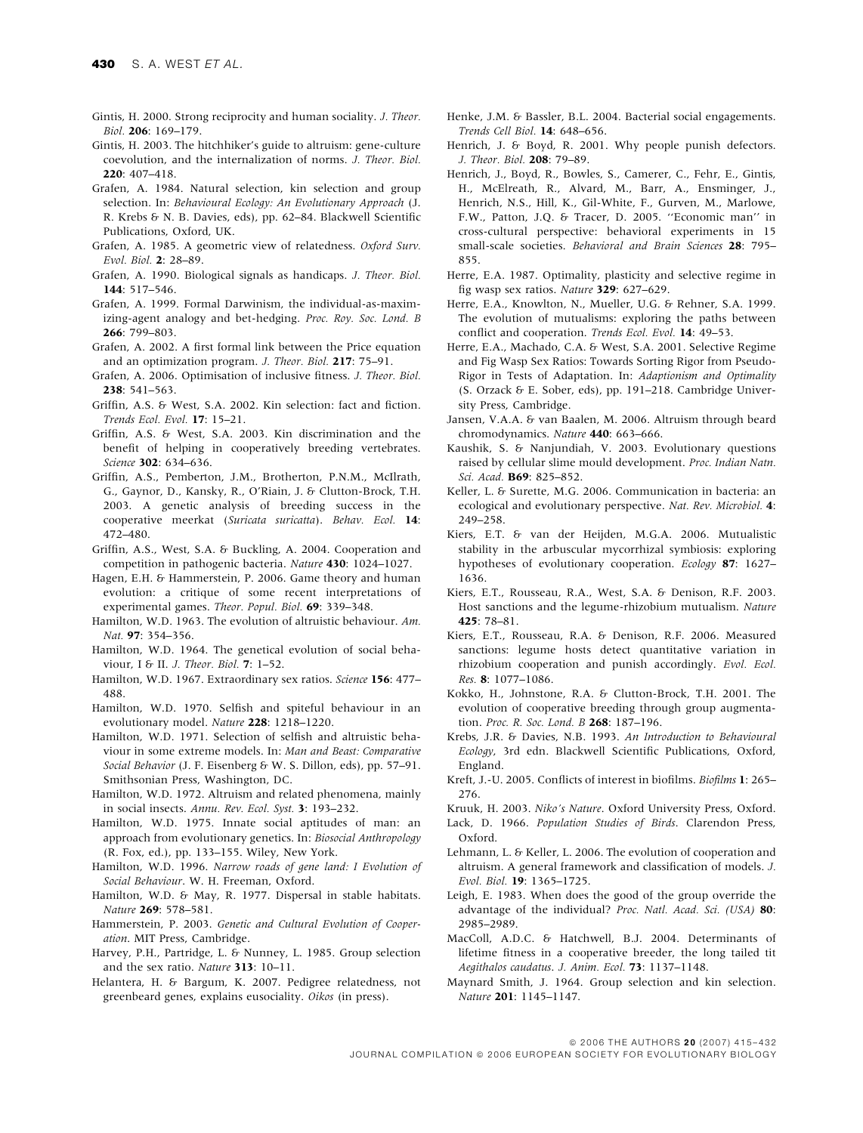- Gintis, H. 2000. Strong reciprocity and human sociality. J. Theor. Biol. 206: 169–179.
- Gintis, H. 2003. The hitchhiker's guide to altruism: gene-culture coevolution, and the internalization of norms. J. Theor. Biol. 220: 407–418.
- Grafen, A. 1984. Natural selection, kin selection and group selection. In: Behavioural Ecology: An Evolutionary Approach (J. R. Krebs & N. B. Davies, eds), pp. 62–84. Blackwell Scientific Publications, Oxford, UK.
- Grafen, A. 1985. A geometric view of relatedness. Oxford Surv. Evol. Biol. 2: 28–89.
- Grafen, A. 1990. Biological signals as handicaps. J. Theor. Biol. 144: 517–546.
- Grafen, A. 1999. Formal Darwinism, the individual-as-maximizing-agent analogy and bet-hedging. Proc. Roy. Soc. Lond. B 266: 799–803.
- Grafen, A. 2002. A first formal link between the Price equation and an optimization program. J. Theor. Biol. 217: 75–91.
- Grafen, A. 2006. Optimisation of inclusive fitness. J. Theor. Biol. 238: 541–563.
- Griffin, A.S. & West, S.A. 2002. Kin selection: fact and fiction. Trends Ecol. Evol. 17: 15–21.
- Griffin, A.S. & West, S.A. 2003. Kin discrimination and the benefit of helping in cooperatively breeding vertebrates. Science 302: 634–636.
- Griffin, A.S., Pemberton, J.M., Brotherton, P.N.M., McIlrath, G., Gaynor, D., Kansky, R., O'Riain, J. & Clutton-Brock, T.H. 2003. A genetic analysis of breeding success in the cooperative meerkat (Suricata suricatta). Behav. Ecol. 14: 472–480.
- Griffin, A.S., West, S.A. & Buckling, A. 2004. Cooperation and competition in pathogenic bacteria. Nature 430: 1024–1027.
- Hagen, E.H. & Hammerstein, P. 2006. Game theory and human evolution: a critique of some recent interpretations of experimental games. Theor. Popul. Biol. 69: 339–348.
- Hamilton, W.D. 1963. The evolution of altruistic behaviour. Am. Nat. 97: 354–356.
- Hamilton, W.D. 1964. The genetical evolution of social behaviour, I & II. J. Theor. Biol. 7: 1–52.
- Hamilton, W.D. 1967. Extraordinary sex ratios. Science 156: 477-488.
- Hamilton, W.D. 1970. Selfish and spiteful behaviour in an evolutionary model. Nature 228: 1218–1220.
- Hamilton, W.D. 1971. Selection of selfish and altruistic behaviour in some extreme models. In: Man and Beast: Comparative Social Behavior (J. F. Eisenberg & W. S. Dillon, eds), pp. 57–91. Smithsonian Press, Washington, DC.
- Hamilton, W.D. 1972. Altruism and related phenomena, mainly in social insects. Annu. Rev. Ecol. Syst. 3: 193–232.
- Hamilton, W.D. 1975. Innate social aptitudes of man: an approach from evolutionary genetics. In: Biosocial Anthropology (R. Fox, ed.), pp. 133–155. Wiley, New York.
- Hamilton, W.D. 1996. Narrow roads of gene land: I Evolution of Social Behaviour. W. H. Freeman, Oxford.
- Hamilton, W.D. & May, R. 1977. Dispersal in stable habitats. Nature 269: 578–581.
- Hammerstein, P. 2003. Genetic and Cultural Evolution of Cooperation. MIT Press, Cambridge.
- Harvey, P.H., Partridge, L. & Nunney, L. 1985. Group selection and the sex ratio. Nature 313: 10–11.
- Helantera, H. & Bargum, K. 2007. Pedigree relatedness, not greenbeard genes, explains eusociality. Oikos (in press).
- Henke, J.M. & Bassler, B.L. 2004. Bacterial social engagements. Trends Cell Biol. 14: 648–656.
- Henrich, J. & Boyd, R. 2001. Why people punish defectors. J. Theor. Biol. 208: 79–89.
- Henrich, J., Boyd, R., Bowles, S., Camerer, C., Fehr, E., Gintis, H., McElreath, R., Alvard, M., Barr, A., Ensminger, J., Henrich, N.S., Hill, K., Gil-White, F., Gurven, M., Marlowe, F.W., Patton, J.Q. & Tracer, D. 2005. ''Economic man'' in cross-cultural perspective: behavioral experiments in 15 small-scale societies. Behavioral and Brain Sciences 28: 795– 855.
- Herre, E.A. 1987. Optimality, plasticity and selective regime in fig wasp sex ratios. Nature 329: 627–629.
- Herre, E.A., Knowlton, N., Mueller, U.G. & Rehner, S.A. 1999. The evolution of mutualisms: exploring the paths between conflict and cooperation. Trends Ecol. Evol. 14: 49–53.
- Herre, E.A., Machado, C.A. & West, S.A. 2001. Selective Regime and Fig Wasp Sex Ratios: Towards Sorting Rigor from Pseudo-Rigor in Tests of Adaptation. In: Adaptionism and Optimality (S. Orzack & E. Sober, eds), pp. 191–218. Cambridge University Press, Cambridge.
- Jansen, V.A.A. & van Baalen, M. 2006. Altruism through beard chromodynamics. Nature 440: 663–666.
- Kaushik, S. & Nanjundiah, V. 2003. Evolutionary questions raised by cellular slime mould development. Proc. Indian Natn. Sci. Acad. **B69**: 825-852.
- Keller, L. & Surette, M.G. 2006. Communication in bacteria: an ecological and evolutionary perspective. Nat. Rev. Microbiol. 4: 249–258.
- Kiers, E.T. & van der Heijden, M.G.A. 2006. Mutualistic stability in the arbuscular mycorrhizal symbiosis: exploring hypotheses of evolutionary cooperation. Ecology 87: 1627– 1636.
- Kiers, E.T., Rousseau, R.A., West, S.A. & Denison, R.F. 2003. Host sanctions and the legume-rhizobium mutualism. Nature 425: 78–81.
- Kiers, E.T., Rousseau, R.A. & Denison, R.F. 2006. Measured sanctions: legume hosts detect quantitative variation in rhizobium cooperation and punish accordingly. Evol. Ecol. Res. 8: 1077–1086.
- Kokko, H., Johnstone, R.A. & Clutton-Brock, T.H. 2001. The evolution of cooperative breeding through group augmentation. Proc. R. Soc. Lond. B 268: 187–196.
- Krebs, J.R. & Davies, N.B. 1993. An Introduction to Behavioural Ecology, 3rd edn. Blackwell Scientific Publications, Oxford, England.
- Kreft, J.-U. 2005. Conflicts of interest in biofilms. Biofilms 1: 265– 276.
- Kruuk, H. 2003. Niko's Nature. Oxford University Press, Oxford.
- Lack, D. 1966. Population Studies of Birds. Clarendon Press, Oxford.
- Lehmann, L. & Keller, L. 2006. The evolution of cooperation and altruism. A general framework and classification of models. J. Evol. Biol. 19: 1365–1725.
- Leigh, E. 1983. When does the good of the group override the advantage of the individual? Proc. Natl. Acad. Sci. (USA) 80: 2985–2989.
- MacColl, A.D.C. & Hatchwell, B.J. 2004. Determinants of lifetime fitness in a cooperative breeder, the long tailed tit Aegithalos caudatus. J. Anim. Ecol. 73: 1137–1148.
- Maynard Smith, J. 1964. Group selection and kin selection. Nature 201: 1145–1147.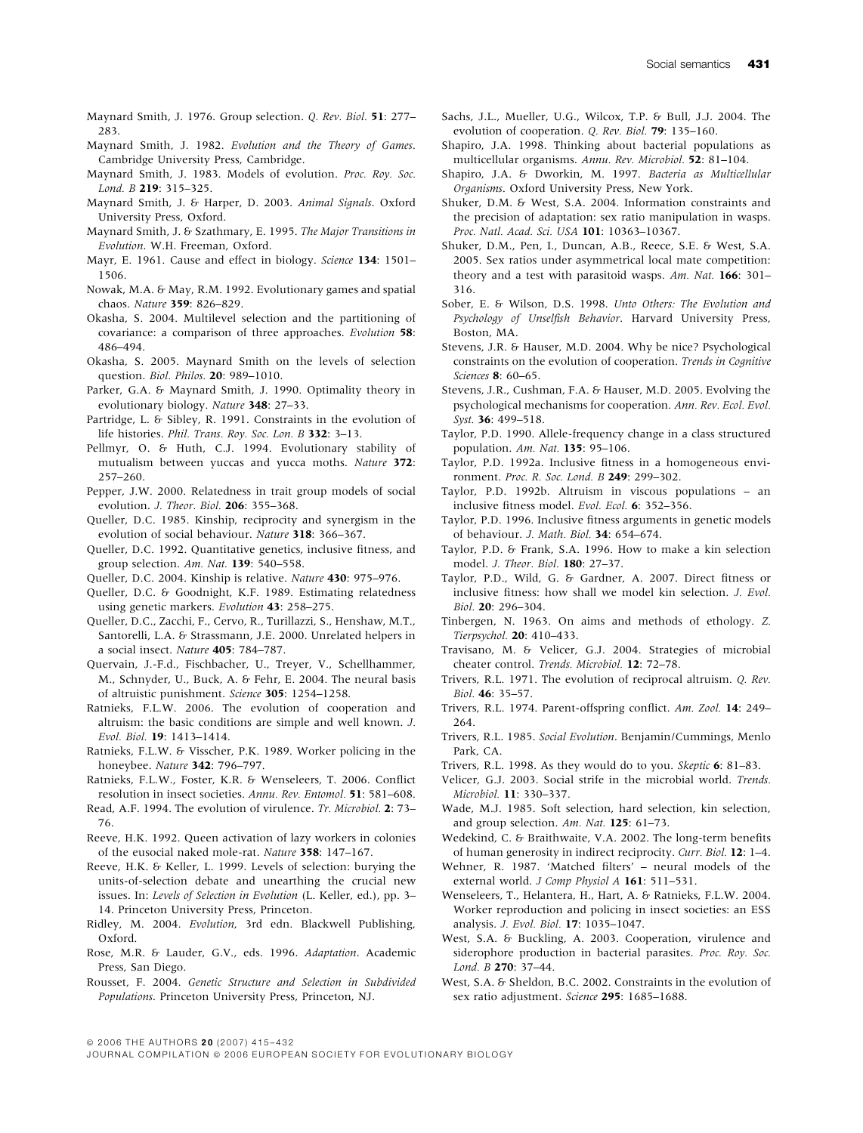- Maynard Smith, J. 1976. Group selection. Q. Rev. Biol. 51: 277– 283.
- Maynard Smith, J. 1982. Evolution and the Theory of Games. Cambridge University Press, Cambridge.
- Maynard Smith, J. 1983. Models of evolution. Proc. Roy. Soc. Lond. B 219: 315–325.
- Maynard Smith, J. & Harper, D. 2003. Animal Signals. Oxford University Press, Oxford.
- Maynard Smith, J. & Szathmary, E. 1995. The Major Transitions in Evolution. W.H. Freeman, Oxford.
- Mayr, E. 1961. Cause and effect in biology. Science 134: 1501-1506.
- Nowak, M.A. & May, R.M. 1992. Evolutionary games and spatial chaos. Nature 359: 826–829.
- Okasha, S. 2004. Multilevel selection and the partitioning of covariance: a comparison of three approaches. Evolution 58: 486–494.
- Okasha, S. 2005. Maynard Smith on the levels of selection question. Biol. Philos. 20: 989–1010.
- Parker, G.A. & Maynard Smith, J. 1990. Optimality theory in evolutionary biology. Nature 348: 27–33.
- Partridge, L. & Sibley, R. 1991. Constraints in the evolution of life histories. Phil. Trans. Roy. Soc. Lon. B 332: 3–13.
- Pellmyr, O. & Huth, C.J. 1994. Evolutionary stability of mutualism between yuccas and yucca moths. Nature 372: 257–260.
- Pepper, J.W. 2000. Relatedness in trait group models of social evolution. J. Theor. Biol. 206: 355–368.
- Queller, D.C. 1985. Kinship, reciprocity and synergism in the evolution of social behaviour. Nature 318: 366–367.
- Queller, D.C. 1992. Quantitative genetics, inclusive fitness, and group selection. Am. Nat. 139: 540–558.
- Queller, D.C. 2004. Kinship is relative. Nature 430: 975–976.
- Queller, D.C. & Goodnight, K.F. 1989. Estimating relatedness using genetic markers. Evolution 43: 258-275.
- Queller, D.C., Zacchi, F., Cervo, R., Turillazzi, S., Henshaw, M.T., Santorelli, L.A. & Strassmann, J.E. 2000. Unrelated helpers in a social insect. Nature 405: 784–787.
- Quervain, J.-F.d., Fischbacher, U., Treyer, V., Schellhammer, M., Schnyder, U., Buck, A. & Fehr, E. 2004. The neural basis of altruistic punishment. Science 305: 1254–1258.
- Ratnieks, F.L.W. 2006. The evolution of cooperation and altruism: the basic conditions are simple and well known. J. Evol. Biol. 19: 1413–1414.
- Ratnieks, F.L.W. & Visscher, P.K. 1989. Worker policing in the honeybee. Nature 342: 796–797.
- Ratnieks, F.L.W., Foster, K.R. & Wenseleers, T. 2006. Conflict resolution in insect societies. Annu. Rev. Entomol. 51: 581–608.
- Read, A.F. 1994. The evolution of virulence. Tr. Microbiol. 2: 73– 76.
- Reeve, H.K. 1992. Queen activation of lazy workers in colonies of the eusocial naked mole-rat. Nature 358: 147–167.
- Reeve, H.K. & Keller, L. 1999. Levels of selection: burying the units-of-selection debate and unearthing the crucial new issues. In: Levels of Selection in Evolution (L. Keller, ed.), pp. 3– 14. Princeton University Press, Princeton.
- Ridley, M. 2004. Evolution, 3rd edn. Blackwell Publishing, Oxford.
- Rose, M.R. & Lauder, G.V., eds. 1996. Adaptation. Academic Press, San Diego.
- Rousset, F. 2004. Genetic Structure and Selection in Subdivided Populations. Princeton University Press, Princeton, NJ.
- Sachs, J.L., Mueller, U.G., Wilcox, T.P. & Bull, J.J. 2004. The evolution of cooperation. Q. Rev. Biol. 79: 135–160.
- Shapiro, J.A. 1998. Thinking about bacterial populations as multicellular organisms. Annu. Rev. Microbiol. 52: 81–104.
- Shapiro, J.A. & Dworkin, M. 1997. Bacteria as Multicellular Organisms. Oxford University Press, New York.
- Shuker, D.M. & West, S.A. 2004. Information constraints and the precision of adaptation: sex ratio manipulation in wasps. Proc. Natl. Acad. Sci. USA 101: 10363–10367.
- Shuker, D.M., Pen, I., Duncan, A.B., Reece, S.E. & West, S.A. 2005. Sex ratios under asymmetrical local mate competition: theory and a test with parasitoid wasps. Am. Nat. 166: 301-316.
- Sober, E. & Wilson, D.S. 1998. Unto Others: The Evolution and Psychology of Unselfish Behavior. Harvard University Press, Boston, MA.
- Stevens, J.R. & Hauser, M.D. 2004. Why be nice? Psychological constraints on the evolution of cooperation. Trends in Cognitive Sciences 8: 60-65.
- Stevens, J.R., Cushman, F.A. & Hauser, M.D. 2005. Evolving the psychological mechanisms for cooperation. Ann. Rev. Ecol. Evol. Syst. 36: 499-518.
- Taylor, P.D. 1990. Allele-frequency change in a class structured population. Am. Nat. 135: 95–106.
- Taylor, P.D. 1992a. Inclusive fitness in a homogeneous environment. Proc. R. Soc. Lond. B 249: 299–302.
- Taylor, P.D. 1992b. Altruism in viscous populations an inclusive fitness model. Evol. Ecol. 6: 352–356.
- Taylor, P.D. 1996. Inclusive fitness arguments in genetic models of behaviour. J. Math. Biol. 34: 654–674.
- Taylor, P.D. & Frank, S.A. 1996. How to make a kin selection model. J. Theor. Biol. 180: 27–37.
- Taylor, P.D., Wild, G. & Gardner, A. 2007. Direct fitness or inclusive fitness: how shall we model kin selection. J. Evol. Biol. 20: 296–304.
- Tinbergen, N. 1963. On aims and methods of ethology. Z. Tierpsychol. 20: 410–433.
- Travisano, M. & Velicer, G.J. 2004. Strategies of microbial cheater control. Trends. Microbiol. 12: 72–78.
- Trivers, R.L. 1971. The evolution of reciprocal altruism. Q. Rev. Biol. 46: 35–57.
- Trivers, R.L. 1974. Parent-offspring conflict. Am. Zool. 14: 249– 264.
- Trivers, R.L. 1985. Social Evolution. Benjamin/Cummings, Menlo Park, CA.
- Trivers, R.L. 1998. As they would do to you. Skeptic 6: 81–83.
- Velicer, G.J. 2003. Social strife in the microbial world. Trends. Microbiol. 11: 330–337.
- Wade, M.J. 1985. Soft selection, hard selection, kin selection, and group selection. Am. Nat. 125: 61–73.
- Wedekind, C. & Braithwaite, V.A. 2002. The long-term benefits of human generosity in indirect reciprocity. Curr. Biol. 12: 1–4.
- Wehner, R. 1987. 'Matched filters' neural models of the external world. J Comp Physiol A 161: 511–531.
- Wenseleers, T., Helantera, H., Hart, A. & Ratnieks, F.L.W. 2004. Worker reproduction and policing in insect societies: an ESS analysis. J. Evol. Biol. 17: 1035–1047.
- West, S.A. & Buckling, A. 2003. Cooperation, virulence and siderophore production in bacterial parasites. Proc. Roy. Soc. Lond. B 270: 37–44.
- West, S.A. & Sheldon, B.C. 2002. Constraints in the evolution of sex ratio adjustment. Science 295: 1685-1688.

<sup>© 2006</sup> THE AUTHORS 20 (2007) 415-432

JOURNAL COMPILATION @ 2006 EUROPEAN SOCIETY FOR EVOLUTIONARY BIOLOGY